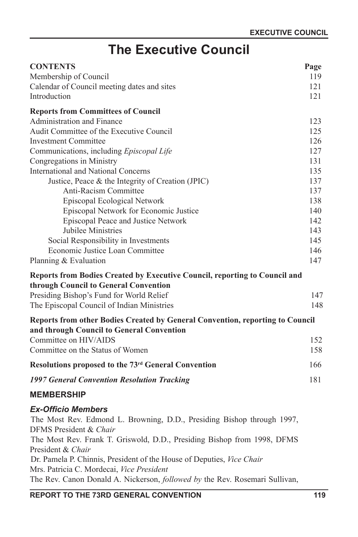# **The Executive Council**

| <b>CONTENTS</b>                                                                                  | Page |
|--------------------------------------------------------------------------------------------------|------|
| Membership of Council                                                                            | 119  |
| Calendar of Council meeting dates and sites                                                      | 121  |
| Introduction                                                                                     | 121  |
| <b>Reports from Committees of Council</b>                                                        |      |
| Administration and Finance                                                                       | 123  |
| Audit Committee of the Executive Council                                                         | 125  |
| <b>Investment Committee</b>                                                                      | 126  |
| Communications, including Episcopal Life                                                         | 127  |
| Congregations in Ministry                                                                        | 131  |
| <b>International and National Concerns</b>                                                       | 135  |
| Justice, Peace & the Integrity of Creation (JPIC)                                                | 137  |
| Anti-Racism Committee                                                                            | 137  |
| Episcopal Ecological Network                                                                     | 138  |
| Episcopal Network for Economic Justice                                                           | 140  |
| Episcopal Peace and Justice Network                                                              | 142  |
| Jubilee Ministries                                                                               | 143  |
| Social Responsibility in Investments                                                             | 145  |
| Economic Justice Loan Committee                                                                  | 146  |
| Planning & Evaluation                                                                            | 147  |
| Reports from Bodies Created by Executive Council, reporting to Council and                       |      |
| through Council to General Convention                                                            |      |
| Presiding Bishop's Fund for World Relief                                                         | 147  |
| The Episcopal Council of Indian Ministries                                                       | 148  |
| <b>Reports from other Bodies Created by General Convention, reporting to Council</b>             |      |
| and through Council to General Convention                                                        |      |
| Committee on HIV/AIDS                                                                            | 152  |
| Committee on the Status of Women                                                                 | 158  |
| Resolutions proposed to the 73rd General Convention                                              | 166  |
| <b>1997 General Convention Resolution Tracking</b>                                               | 181  |
| <b>MEMBERSHIP</b>                                                                                |      |
| <b>Ex-Officio Members</b>                                                                        |      |
| The Most Rev. Edmond L. Browning, D.D., Presiding Bishop through 1997,<br>DFMS President & Chair |      |
| The Most Rev. Frank T. Griswold, D.D., Presiding Bishop from 1998, DFMS                          |      |

President & *Chair* Dr. Pamela P. Chinnis, President of the House of Deputies, *Vice Chair*

Mrs. Patricia C. Mordecai, *Vice President*

The Rev. Canon Donald A. Nickerson, *followed by* the Rev. Rosemari Sullivan,

# **REPORT TO THE 73RD GENERAL CONVENTION 119**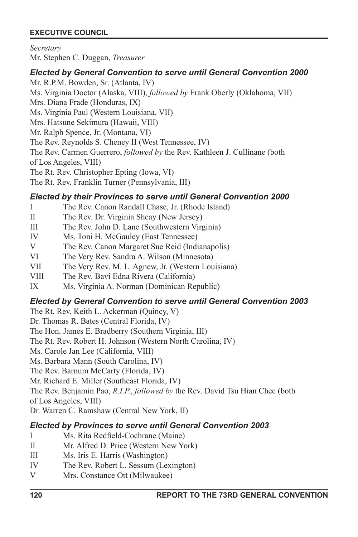*Secretary*

Mr. Stephen C. Duggan, *Treasurer*

### *Elected by General Convention to serve until General Convention 2000*

Mr. R.P.M. Bowden, Sr. (Atlanta, IV) Ms. Virginia Doctor (Alaska, VIII), *followed by* Frank Oberly (Oklahoma, VII) Mrs. Diana Frade (Honduras, IX) Ms. Virginia Paul (Western Louisiana, VII) Mrs. Hatsune Sekimura (Hawaii, VIII) Mr. Ralph Spence, Jr. (Montana, VI) The Rev. Reynolds S. Cheney II (West Tennessee, IV) The Rev. Carmen Guerrero, *followed by* the Rev. Kathleen J. Cullinane (both of Los Angeles, VIII) The Rt. Rev. Christopher Epting (Iowa, VI) The Rt. Rev. Franklin Turner (Pennsylvania, III)

## *Elected by their Provinces to serve until General Convention 2000*

- I The Rev. Canon Randall Chase, Jr. (Rhode Island)
- II The Rev. Dr. Virginia Sheay (New Jersey)
- III The Rev. John D. Lane (Southwestern Virginia)
- IV Ms. Toni H. McGauley (East Tennessee)
- V The Rev. Canon Margaret Sue Reid (Indianapolis)
- VI The Very Rev. Sandra A. Wilson (Minnesota)
- VII The Very Rev. M. L. Agnew, Jr. (Western Louisiana)
- VIII The Rev. Bavi Edna Rivera (California)
- IX Ms. Virginia A. Norman (Dominican Republic)

# *Elected by General Convention to serve until General Convention 2003*

The Rt. Rev. Keith L. Ackerman (Quincy, V)

Dr. Thomas R. Bates (Central Florida, IV)

The Hon. James E. Bradberry (Southern Virginia, III)

The Rt. Rev. Robert H. Johnson (Western North Carolina, IV)

Ms. Carole Jan Lee (California, VIII)

Ms. Barbara Mann (South Carolina, IV)

The Rev. Barnum McCarty (Florida, IV)

Mr. Richard E. Miller (Southeast Florida, IV)

The Rev. Benjamin Pao, *R.I.P.*, *followed by* the Rev. David Tsu Hian Chee (both of Los Angeles, VIII)

Dr. Warren C. Ramshaw (Central New York, II)

# *Elected by Provinces to serve until General Convention 2003*

- I Ms. Rita Redfield-Cochrane (Maine)
- II Mr. Alfred D. Price (Western New York)
- III Ms. Iris E. Harris (Washington)
- IV The Rev. Robert L. Sessum (Lexington)
- V Mrs. Constance Ott (Milwaukee)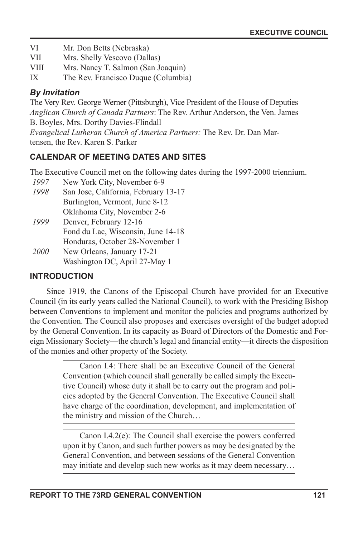- VI Mr. Don Betts (Nebraska)
- VII Mrs. Shelly Vescovo (Dallas)
- VIII Mrs. Nancy T. Salmon (San Joaquin)
- IX The Rev. Francisco Duque (Columbia)

# *By Invitation*

The Very Rev. George Werner (Pittsburgh), Vice President of the House of Deputies *Anglican Church of Canada Partners*: The Rev. Arthur Anderson, the Ven. James B. Boyles, Mrs. Dorthy Davies-Flindall

*Evangelical Lutheran Church of America Partners:* The Rev. Dr. Dan Martensen, the Rev. Karen S. Parker

# **CALENDAR OF MEETING DATES AND SITES**

The Executive Council met on the following dates during the 1997-2000 triennium.

- *1997* New York City, November 6-9
- *1998* San Jose, California, February 13-17 Burlington, Vermont, June 8-12 Oklahoma City, November 2-6
- *1999* Denver, February 12-16 Fond du Lac, Wisconsin, June 14-18 Honduras, October 28-November 1
- *2000* New Orleans, January 17-21 Washington DC, April 27-May 1

# **INTRODUCTION**

Since 1919, the Canons of the Episcopal Church have provided for an Executive Council (in its early years called the National Council), to work with the Presiding Bishop between Conventions to implement and monitor the policies and programs authorized by the Convention. The Council also proposes and exercises oversight of the budget adopted by the General Convention. In its capacity as Board of Directors of the Domestic and Foreign Missionary Society—the church's legal and financial entity—it directs the disposition of the monies and other property of the Society.

> Canon I.4: There shall be an Executive Council of the General Convention (which council shall generally be called simply the Executive Council) whose duty it shall be to carry out the program and policies adopted by the General Convention. The Executive Council shall have charge of the coordination, development, and implementation of the ministry and mission of the Church…

> Canon I.4.2(e): The Council shall exercise the powers conferred upon it by Canon, and such further powers as may be designated by the General Convention, and between sessions of the General Convention may initiate and develop such new works as it may deem necessary…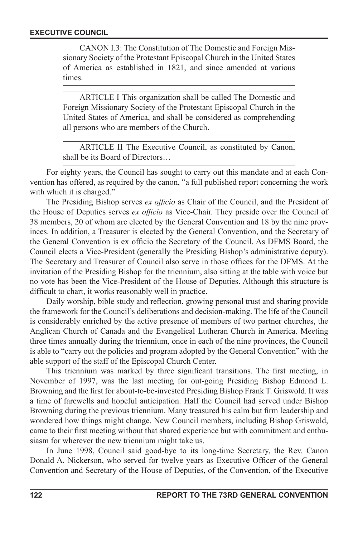CANON I.3: The Constitution of The Domestic and Foreign Missionary Society of the Protestant Episcopal Church in the United States of America as established in 1821, and since amended at various times.

ARTICLE I This organization shall be called The Domestic and Foreign Missionary Society of the Protestant Episcopal Church in the United States of America, and shall be considered as comprehending all persons who are members of the Church.

ARTICLE II The Executive Council, as constituted by Canon, shall be its Board of Directors…

For eighty years, the Council has sought to carry out this mandate and at each Convention has offered, as required by the canon, "a full published report concerning the work with which it is charged."

The Presiding Bishop serves *ex officio* as Chair of the Council, and the President of the House of Deputies serves *ex officio* as Vice-Chair. They preside over the Council of 38 members, 20 of whom are elected by the General Convention and 18 by the nine provinces. In addition, a Treasurer is elected by the General Convention, and the Secretary of the General Convention is ex officio the Secretary of the Council. As DFMS Board, the Council elects a Vice-President (generally the Presiding Bishop's administrative deputy). The Secretary and Treasurer of Council also serve in those offices for the DFMS. At the invitation of the Presiding Bishop for the triennium, also sitting at the table with voice but no vote has been the Vice-President of the House of Deputies. Although this structure is difficult to chart, it works reasonably well in practice.

Daily worship, bible study and reflection, growing personal trust and sharing provide the framework for the Council's deliberations and decision-making. The life of the Council is considerably enriched by the active presence of members of two partner churches, the Anglican Church of Canada and the Evangelical Lutheran Church in America. Meeting three times annually during the triennium, once in each of the nine provinces, the Council is able to "carry out the policies and program adopted by the General Convention" with the able support of the staff of the Episcopal Church Center.

This triennium was marked by three significant transitions. The first meeting, in November of 1997, was the last meeting for out-going Presiding Bishop Edmond L. Browning and the first for about-to-be-invested Presiding Bishop Frank T. Griswold. It was a time of farewells and hopeful anticipation. Half the Council had served under Bishop Browning during the previous triennium. Many treasured his calm but firm leadership and wondered how things might change. New Council members, including Bishop Griswold, came to their first meeting without that shared experience but with commitment and enthusiasm for wherever the new triennium might take us.

In June 1998, Council said good-bye to its long-time Secretary, the Rev. Canon Donald A. Nickerson, who served for twelve years as Executive Officer of the General Convention and Secretary of the House of Deputies, of the Convention, of the Executive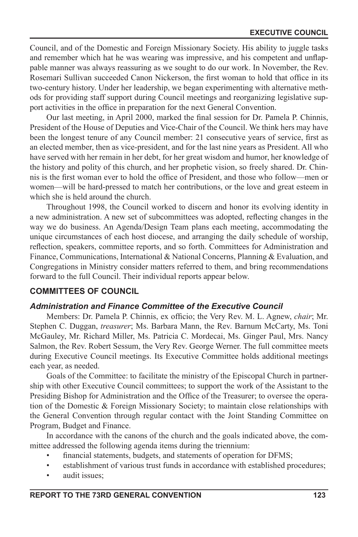Council, and of the Domestic and Foreign Missionary Society. His ability to juggle tasks and remember which hat he was wearing was impressive, and his competent and unflappable manner was always reassuring as we sought to do our work. In November, the Rev. Rosemari Sullivan succeeded Canon Nickerson, the first woman to hold that office in its two-century history. Under her leadership, we began experimenting with alternative methods for providing staff support during Council meetings and reorganizing legislative support activities in the office in preparation for the next General Convention.

Our last meeting, in April 2000, marked the final session for Dr. Pamela P. Chinnis, President of the House of Deputies and Vice-Chair of the Council. We think hers may have been the longest tenure of any Council member: 21 consecutive years of service, first as an elected member, then as vice-president, and for the last nine years as President. All who have served with her remain in her debt, for her great wisdom and humor, her knowledge of the history and polity of this church, and her prophetic vision, so freely shared. Dr. Chinnis is the first woman ever to hold the office of President, and those who follow—men or women—will be hard-pressed to match her contributions, or the love and great esteem in which she is held around the church.

Throughout 1998, the Council worked to discern and honor its evolving identity in a new administration. A new set of subcommittees was adopted, reflecting changes in the way we do business. An Agenda/Design Team plans each meeting, accommodating the unique circumstances of each host diocese, and arranging the daily schedule of worship, reflection, speakers, committee reports, and so forth. Committees for Administration and Finance, Communications, International & National Concerns, Planning & Evaluation, and Congregations in Ministry consider matters referred to them, and bring recommendations forward to the full Council. Their individual reports appear below.

#### **COMMITTEES OF COUNCIL**

#### *Administration and Finance Committee of the Executive Council*

Members: Dr. Pamela P. Chinnis, ex officio; the Very Rev. M. L. Agnew, *chair*; Mr. Stephen C. Duggan, *treasurer*; Ms. Barbara Mann, the Rev. Barnum McCarty, Ms. Toni McGauley, Mr. Richard Miller, Ms. Patricia C. Mordecai, Ms. Ginger Paul, Mrs. Nancy Salmon, the Rev. Robert Sessum, the Very Rev. George Werner. The full committee meets during Executive Council meetings. Its Executive Committee holds additional meetings each year, as needed.

Goals of the Committee: to facilitate the ministry of the Episcopal Church in partnership with other Executive Council committees; to support the work of the Assistant to the Presiding Bishop for Administration and the Office of the Treasurer; to oversee the operation of the Domestic & Foreign Missionary Society; to maintain close relationships with the General Convention through regular contact with the Joint Standing Committee on Program, Budget and Finance.

In accordance with the canons of the church and the goals indicated above, the committee addressed the following agenda items during the triennium:

- financial statements, budgets, and statements of operation for DFMS;
- establishment of various trust funds in accordance with established procedures;
- audit issues: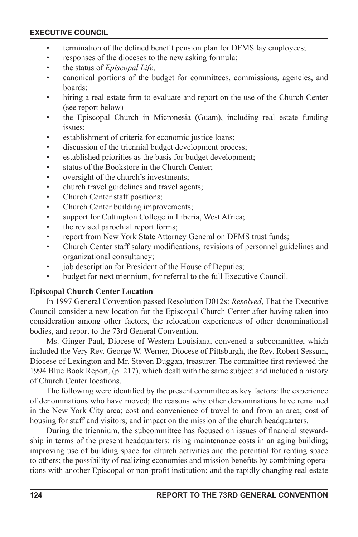- termination of the defined benefit pension plan for DFMS lay employees;
- responses of the dioceses to the new asking formula;
- the status of *Episcopal Life;*
- canonical portions of the budget for committees, commissions, agencies, and boards;
- hiring a real estate firm to evaluate and report on the use of the Church Center (see report below)
- the Episcopal Church in Micronesia (Guam), including real estate funding issues;
- establishment of criteria for economic justice loans;
- discussion of the triennial budget development process;
- established priorities as the basis for budget development;
- status of the Bookstore in the Church Center;
- oversight of the church's investments;
- church travel guidelines and travel agents;
- Church Center staff positions;
- Church Center building improvements;
- support for Cuttington College in Liberia, West Africa;
- the revised parochial report forms;
- report from New York State Attorney General on DFMS trust funds;
- Church Center staff salary modifications, revisions of personnel guidelines and organizational consultancy;
- job description for President of the House of Deputies;
- budget for next triennium, for referral to the full Executive Council.

#### **Episcopal Church Center Location**

In 1997 General Convention passed Resolution D012s: *Resolved*, That the Executive Council consider a new location for the Episcopal Church Center after having taken into consideration among other factors, the relocation experiences of other denominational bodies, and report to the 73rd General Convention.

Ms. Ginger Paul, Diocese of Western Louisiana, convened a subcommittee, which included the Very Rev. George W. Werner, Diocese of Pittsburgh, the Rev. Robert Sessum, Diocese of Lexington and Mr. Steven Duggan, treasurer. The committee first reviewed the 1994 Blue Book Report, (p. 217), which dealt with the same subject and included a history of Church Center locations.

The following were identified by the present committee as key factors: the experience of denominations who have moved; the reasons why other denominations have remained in the New York City area; cost and convenience of travel to and from an area; cost of housing for staff and visitors; and impact on the mission of the church headquarters.

During the triennium, the subcommittee has focused on issues of financial stewardship in terms of the present headquarters: rising maintenance costs in an aging building; improving use of building space for church activities and the potential for renting space to others; the possibility of realizing economies and mission benefits by combining operations with another Episcopal or non-profit institution; and the rapidly changing real estate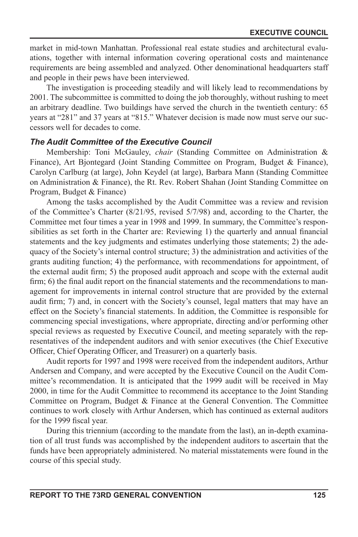market in mid-town Manhattan. Professional real estate studies and architectural evaluations, together with internal information covering operational costs and maintenance requirements are being assembled and analyzed. Other denominational headquarters staff and people in their pews have been interviewed.

The investigation is proceeding steadily and will likely lead to recommendations by 2001. The subcommittee is committed to doing the job thoroughly, without rushing to meet an arbitrary deadline. Two buildings have served the church in the twentieth century: 65 years at "281" and 37 years at "815." Whatever decision is made now must serve our successors well for decades to come.

#### *The Audit Committee of the Executive Council*

Membership: Toni McGauley, *chair* (Standing Committee on Administration & Finance), Art Bjontegard (Joint Standing Committee on Program, Budget & Finance), Carolyn Carlburg (at large), John Keydel (at large), Barbara Mann (Standing Committee on Administration & Finance), the Rt. Rev. Robert Shahan (Joint Standing Committee on Program, Budget & Finance)

Among the tasks accomplished by the Audit Committee was a review and revision of the Committee's Charter (8/21/95, revised 5/7/98) and, according to the Charter, the Committee met four times a year in 1998 and 1999. In summary, the Committee's responsibilities as set forth in the Charter are: Reviewing 1) the quarterly and annual financial statements and the key judgments and estimates underlying those statements; 2) the adequacy of the Society's internal control structure; 3) the administration and activities of the grants auditing function; 4) the performance, with recommendations for appointment, of the external audit firm; 5) the proposed audit approach and scope with the external audit firm; 6) the final audit report on the financial statements and the recommendations to management for improvements in internal control structure that are provided by the external audit firm; 7) and, in concert with the Society's counsel, legal matters that may have an effect on the Society's nancial statements. In addition, the Committee is responsible for commencing special investigations, where appropriate, directing and/or performing other special reviews as requested by Executive Council, and meeting separately with the representatives of the independent auditors and with senior executives (the Chief Executive Officer, Chief Operating Officer, and Treasurer) on a quarterly basis.

Audit reports for 1997 and 1998 were received from the independent auditors, Arthur Andersen and Company, and were accepted by the Executive Council on the Audit Committee's recommendation. It is anticipated that the 1999 audit will be received in May 2000, in time for the Audit Committee to recommend its acceptance to the Joint Standing Committee on Program, Budget & Finance at the General Convention. The Committee continues to work closely with Arthur Andersen, which has continued as external auditors for the 1999 fiscal year.

During this triennium (according to the mandate from the last), an in-depth examination of all trust funds was accomplished by the independent auditors to ascertain that the funds have been appropriately administered. No material misstatements were found in the course of this special study.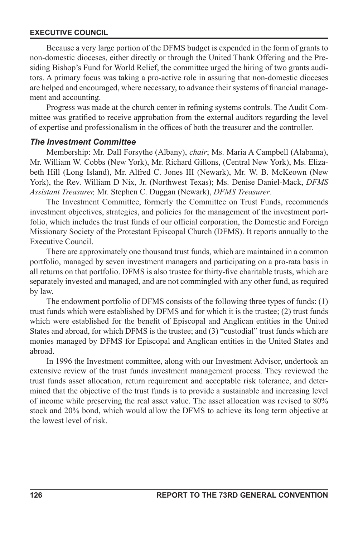Because a very large portion of the DFMS budget is expended in the form of grants to non-domestic dioceses, either directly or through the United Thank Offering and the Presiding Bishop's Fund for World Relief, the committee urged the hiring of two grants auditors. A primary focus was taking a pro-active role in assuring that non-domestic dioceses are helped and encouraged, where necessary, to advance their systems of nancial management and accounting.

Progress was made at the church center in refining systems controls. The Audit Committee was gratified to receive approbation from the external auditors regarding the level of expertise and professionalism in the offices of both the treasurer and the controller.

#### *The Investment Committee*

Membership: Mr. Dall Forsythe (Albany), *chair*; Ms. Maria A Campbell (Alabama), Mr. William W. Cobbs (New York), Mr. Richard Gillons, (Central New York), Ms. Elizabeth Hill (Long Island), Mr. Alfred C. Jones III (Newark), Mr. W. B. McKeown (New York), the Rev. William D Nix, Jr. (Northwest Texas); Ms. Denise Daniel-Mack, *DFMS Assistant Treasurer,* Mr. Stephen C. Duggan (Newark), *DFMS Treasurer*.

The Investment Committee, formerly the Committee on Trust Funds, recommends investment objectives, strategies, and policies for the management of the investment portfolio, which includes the trust funds of our official corporation, the Domestic and Foreign Missionary Society of the Protestant Episcopal Church (DFMS). It reports annually to the Executive Council.

There are approximately one thousand trust funds, which are maintained in a common portfolio, managed by seven investment managers and participating on a pro-rata basis in all returns on that portfolio. DFMS is also trustee for thirty-five charitable trusts, which are separately invested and managed, and are not commingled with any other fund, as required by law.

The endowment portfolio of DFMS consists of the following three types of funds: (1) trust funds which were established by DFMS and for which it is the trustee; (2) trust funds which were established for the benefit of Episcopal and Anglican entities in the United States and abroad, for which DFMS is the trustee; and (3) "custodial" trust funds which are monies managed by DFMS for Episcopal and Anglican entities in the United States and abroad.

In 1996 the Investment committee, along with our Investment Advisor, undertook an extensive review of the trust funds investment management process. They reviewed the trust funds asset allocation, return requirement and acceptable risk tolerance, and determined that the objective of the trust funds is to provide a sustainable and increasing level of income while preserving the real asset value. The asset allocation was revised to 80% stock and 20% bond, which would allow the DFMS to achieve its long term objective at the lowest level of risk.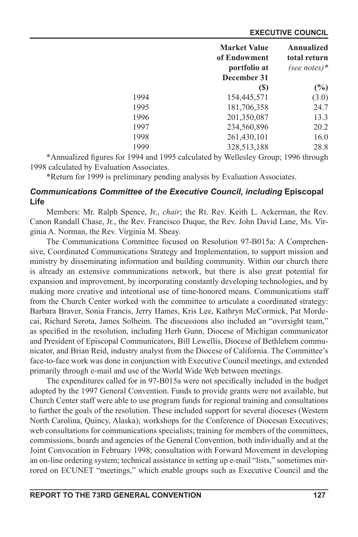|      | <b>Market Value</b> | Annualized   |
|------|---------------------|--------------|
|      | of Endowment        | total return |
|      | portfolio at        | (see notes)* |
|      | December 31         |              |
|      | <b>(S)</b>          | $(\%)$       |
| 1994 | 154,445,571         | (3.0)        |
| 1995 | 181,706,358         | 24.7         |
| 1996 | 201,350,087         | 13.3         |
| 1997 | 234,560,896         | 20.2         |
| 1998 | 261,430,101         | 16.0         |
| 1999 | 328,513,188         | 28.8         |

\*Annualized figures for 1994 and 1995 calculated by Wellesley Group; 1996 through 1998 calculated by Evaluation Associates.

\*Return for 1999 is preliminary pending analysis by Evaluation Associates.

# **Communications Committee of the Executive Council, including Episcopal Life**

Members: Mr. Ralph Spence, Jr., *chair*; the Rt. Rev. Keith L. Ackerman, the Rev. Canon Randall Chase, Jr., the Rev. Francisco Duque, the Rev. John David Lane, Ms. Virginia A. Norman, the Rev. Virginia M. Sheay.

The Communications Committee focused on Resolution 97-B015a: A Comprehensive, Coordinated Communications Strategy and Implementation, to support mission and ministry by disseminating information and building community. Within our church there is already an extensive communications network, but there is also great potential for expansion and improvement, by incorporating constantly developing technologies, and by making more creative and intentional use of time-honored means. Communications staff from the Church Center worked with the committee to articulate a coordinated strategy: Barbara Braver, Sonia Francis, Jerry Hames, Kris Lee, Kathryn McCormick, Pat Mordecai, Richard Serota, James Solheim. The discussions also included an "oversight team," as specified in the resolution, including Herb Gunn, Diocese of Michigan communicator and President of Episcopal Communicators, Bill Lewellis, Diocese of Bethlehem communicator, and Brian Reid, industry analyst from the Diocese of California. The Committee's face-to-face work was done in conjunction with Executive Council meetings, and extended primarily through e-mail and use of the World Wide Web between meetings.

The expenditures called for in 97-B015a were not specifically included in the budget adopted by the 1997 General Convention. Funds to provide grants were not available, but Church Center staff were able to use program funds for regional training and consultations to further the goals of the resolution. These included support for several dioceses (Western North Carolina, Quincy, Alaska); workshops for the Conference of Diocesan Executives; web consultations for communications specialists; training for members of the committees, commissions, boards and agencies of the General Convention, both individually and at the Joint Convocation in February 1998; consultation with Forward Movement in developing an on-line ordering system; technical assistance in setting up e-mail "lists," sometimes mirrored on ECUNET "meetings," which enable groups such as Executive Council and the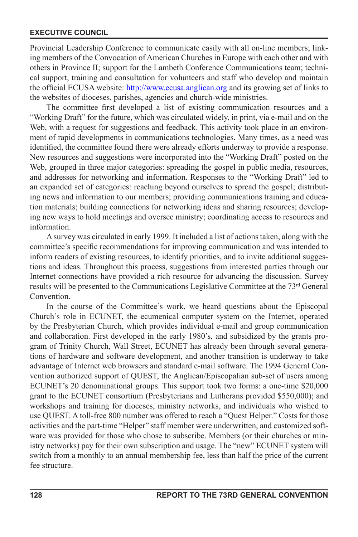Provincial Leadership Conference to communicate easily with all on-line members; linking members of the Convocation of American Churches in Europe with each other and with others in Province II; support for the Lambeth Conference Communications team; technical support, training and consultation for volunteers and staff who develop and maintain the official ECUSA website: http://www.ecusa.anglican.org and its growing set of links to the websites of dioceses, parishes, agencies and church-wide ministries.

The committee first developed a list of existing communication resources and a "Working Draft" for the future, which was circulated widely, in print, via e-mail and on the Web, with a request for suggestions and feedback. This activity took place in an environment of rapid developments in communications technologies. Many times, as a need was identified, the committee found there were already efforts underway to provide a response. New resources and suggestions were incorporated into the "Working Draft" posted on the Web, grouped in three major categories: spreading the gospel in public media, resources, and addresses for networking and information. Responses to the "Working Draft" led to an expanded set of categories: reaching beyond ourselves to spread the gospel; distributing news and information to our members; providing communications training and education materials; building connections for networking ideas and sharing resources; developing new ways to hold meetings and oversee ministry; coordinating access to resources and information.

A survey was circulated in early 1999. It included a list of actions taken, along with the committee's specific recommendations for improving communication and was intended to inform readers of existing resources, to identify priorities, and to invite additional suggestions and ideas. Throughout this process, suggestions from interested parties through our Internet connections have provided a rich resource for advancing the discussion. Survey results will be presented to the Communications Legislative Committee at the 73<sup>rd</sup> General Convention.

In the course of the Committee's work, we heard questions about the Episcopal Church's role in ECUNET, the ecumenical computer system on the Internet, operated by the Presbyterian Church, which provides individual e-mail and group communication and collaboration. First developed in the early 1980's, and subsidized by the grants program of Trinity Church, Wall Street, ECUNET has already been through several generations of hardware and software development, and another transition is underway to take advantage of Internet web browsers and standard e-mail software. The 1994 General Convention authorized support of QUEST, the Anglican/Episcopalian sub-set of users among ECUNET's 20 denominational groups. This support took two forms: a one-time \$20,000 grant to the ECUNET consortium (Presbyterians and Lutherans provided \$550,000); and workshops and training for dioceses, ministry networks, and individuals who wished to use QUEST. A toll-free 800 number was offered to reach a "Quest Helper." Costs for those activities and the part-time "Helper" staff member were underwritten, and customized software was provided for those who chose to subscribe. Members (or their churches or ministry networks) pay for their own subscription and usage. The "new" ECUNET system will switch from a monthly to an annual membership fee, less than half the price of the current fee structure.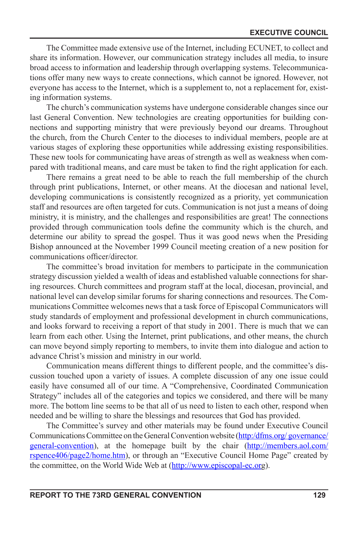The Committee made extensive use of the Internet, including ECUNET, to collect and share its information. However, our communication strategy includes all media, to insure broad access to information and leadership through overlapping systems. Telecommunications offer many new ways to create connections, which cannot be ignored. However, not everyone has access to the Internet, which is a supplement to, not a replacement for, existing information systems.

The church's communication systems have undergone considerable changes since our last General Convention. New technologies are creating opportunities for building connections and supporting ministry that were previously beyond our dreams. Throughout the church, from the Church Center to the dioceses to individual members, people are at various stages of exploring these opportunities while addressing existing responsibilities. These new tools for communicating have areas of strength as well as weakness when compared with traditional means, and care must be taken to find the right application for each.

There remains a great need to be able to reach the full membership of the church through print publications, Internet, or other means. At the diocesan and national level, developing communications is consistently recognized as a priority, yet communication staff and resources are often targeted for cuts. Communication is not just a means of doing ministry, it is ministry, and the challenges and responsibilities are great! The connections provided through communication tools dene the community which is the church, and determine our ability to spread the gospel. Thus it was good news when the Presiding Bishop announced at the November 1999 Council meeting creation of a new position for communications officer/director.

The committee's broad invitation for members to participate in the communication strategy discussion yielded a wealth of ideas and established valuable connections for sharing resources. Church committees and program staff at the local, diocesan, provincial, and national level can develop similar forums for sharing connections and resources. The Communications Committee welcomes news that a task force of Episcopal Communicators will study standards of employment and professional development in church communications, and looks forward to receiving a report of that study in 2001. There is much that we can learn from each other. Using the Internet, print publications, and other means, the church can move beyond simply reporting to members, to invite them into dialogue and action to advance Christ's mission and ministry in our world.

Communication means different things to different people, and the committee's discussion touched upon a variety of issues. A complete discussion of any one issue could easily have consumed all of our time. A "Comprehensive, Coordinated Communication Strategy" includes all of the categories and topics we considered, and there will be many more. The bottom line seems to be that all of us need to listen to each other, respond when needed and be willing to share the blessings and resources that God has provided.

The Committee's survey and other materials may be found under Executive Council Communications Committee on the General Convention website (http:/dfms.org/ governance/ general-convention), at the homepage built by the chair (http://members.aol.com/ rspence406/page2/home.htm), or through an "Executive Council Home Page" created by the committee, on the World Wide Web at (http://www.episcopal-ec.org).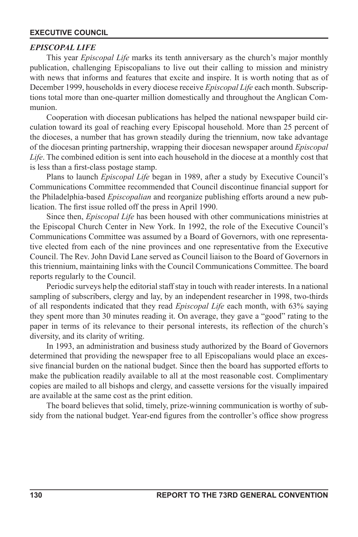## *EPISCOPAL LIFE*

This year *Episcopal Life* marks its tenth anniversary as the church's major monthly publication, challenging Episcopalians to live out their calling to mission and ministry with news that informs and features that excite and inspire. It is worth noting that as of December 1999, households in every diocese receive *Episcopal Life* each month. Subscriptions total more than one-quarter million domestically and throughout the Anglican Communion.

Cooperation with diocesan publications has helped the national newspaper build circulation toward its goal of reaching every Episcopal household. More than 25 percent of the dioceses, a number that has grown steadily during the triennium, now take advantage of the diocesan printing partnership, wrapping their diocesan newspaper around *Episcopal Life*. The combined edition is sent into each household in the diocese at a monthly cost that is less than a first-class postage stamp.

Plans to launch *Episcopal Life* began in 1989, after a study by Executive Council's Communications Committee recommended that Council discontinue financial support for the Philadelphia-based *Episcopalian* and reorganize publishing efforts around a new publication. The first issue rolled off the press in April 1990.

Since then, *Episcopal Life* has been housed with other communications ministries at the Episcopal Church Center in New York. In 1992, the role of the Executive Council's Communications Committee was assumed by a Board of Governors, with one representative elected from each of the nine provinces and one representative from the Executive Council. The Rev. John David Lane served as Council liaison to the Board of Governors in this triennium, maintaining links with the Council Communications Committee. The board reports regularly to the Council.

Periodic surveys help the editorial staff stay in touch with reader interests. In a national sampling of subscribers, clergy and lay, by an independent researcher in 1998, two-thirds of all respondents indicated that they read *Episcopal Life* each month, with 63% saying they spent more than 30 minutes reading it. On average, they gave a "good" rating to the paper in terms of its relevance to their personal interests, its reflection of the church's diversity, and its clarity of writing.

In 1993, an administration and business study authorized by the Board of Governors determined that providing the newspaper free to all Episcopalians would place an excessive financial burden on the national budget. Since then the board has supported efforts to make the publication readily available to all at the most reasonable cost. Complimentary copies are mailed to all bishops and clergy, and cassette versions for the visually impaired are available at the same cost as the print edition.

The board believes that solid, timely, prize-winning communication is worthy of subsidy from the national budget. Year-end figures from the controller's office show progress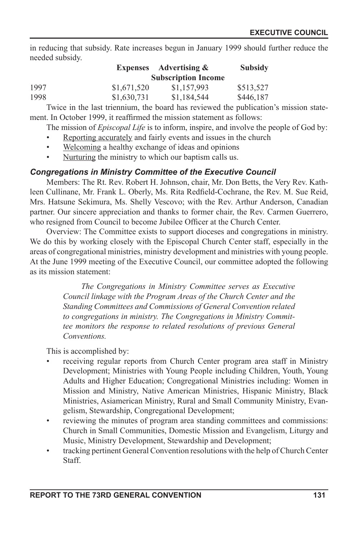in reducing that subsidy. Rate increases begun in January 1999 should further reduce the needed subsidy.

|      | <b>Expenses</b> | <b>Advertising &amp;</b>   | <b>Subsidy</b> |
|------|-----------------|----------------------------|----------------|
|      |                 | <b>Subscription Income</b> |                |
| 1997 | \$1,671,520     | \$1.157.993                | \$513.527      |
| 1998 | \$1,630,731     | \$1.184.544                | \$446,187      |

Twice in the last triennium, the board has reviewed the publication's mission statement. In October 1999, it reaffirmed the mission statement as follows:

The mission of *Episcopal Life* is to inform, inspire, and involve the people of God by:

- Reporting accurately and fairly events and issues in the church
- Welcoming a healthy exchange of ideas and opinions
- Nurturing the ministry to which our baptism calls us.

# *Congregations in Ministry Committee of the Executive Council*

Members: The Rt. Rev. Robert H. Johnson, chair, Mr. Don Betts, the Very Rev. Kathleen Cullinane, Mr. Frank L. Oberly, Ms. Rita Redfield-Cochrane, the Rev. M. Sue Reid, Mrs. Hatsune Sekimura, Ms. Shelly Vescovo; with the Rev. Arthur Anderson, Canadian partner. Our sincere appreciation and thanks to former chair, the Rev. Carmen Guerrero, who resigned from Council to become Jubilee Officer at the Church Center.

Overview: The Committee exists to support dioceses and congregations in ministry. We do this by working closely with the Episcopal Church Center staff, especially in the areas of congregational ministries, ministry development and ministries with young people. At the June 1999 meeting of the Executive Council, our committee adopted the following as its mission statement:

> *The Congregations in Ministry Committee serves as Executive Council linkage with the Program Areas of the Church Center and the Standing Committees and Commissions of General Convention related to congregations in ministry. The Congregations in Ministry Committee monitors the response to related resolutions of previous General Conventions.*

This is accomplished by:

- receiving regular reports from Church Center program area staff in Ministry Development; Ministries with Young People including Children, Youth, Young Adults and Higher Education; Congregational Ministries including: Women in Mission and Ministry, Native American Ministries, Hispanic Ministry, Black Ministries, Asiamerican Ministry, Rural and Small Community Ministry, Evangelism, Stewardship, Congregational Development;
- reviewing the minutes of program area standing committees and commissions: Church in Small Communities, Domestic Mission and Evangelism, Liturgy and Music, Ministry Development, Stewardship and Development;
- tracking pertinent General Convention resolutions with the help of Church Center **Staff.**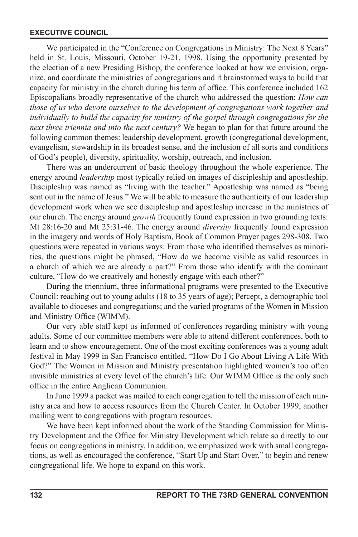We participated in the "Conference on Congregations in Ministry: The Next 8 Years" held in St. Louis, Missouri, October 19-21, 1998. Using the opportunity presented by the election of a new Presiding Bishop, the conference looked at how we envision, organize, and coordinate the ministries of congregations and it brainstormed ways to build that capacity for ministry in the church during his term of office. This conference included 162 Episcopalians broadly representative of the church who addressed the question: *How can those of us who devote ourselves to the development of congregations work together and*  individually to build the capacity for ministry of the gospel through congregations for the *next three triennia and into the next century?* We began to plan for that future around the following common themes: leadership development, growth (congregational development, evangelism, stewardship in its broadest sense, and the inclusion of all sorts and conditions of God's people), diversity, spirituality, worship, outreach, and inclusion.

There was an undercurrent of basic theology throughout the whole experience. The energy around *leadership* most typically relied on images of discipleship and apostleship. Discipleship was named as "living with the teacher." Apostleship was named as "being sent out in the name of Jesus." We will be able to measure the authenticity of our leadership development work when we see discipleship and apostleship increase in the ministries of our church. The energy around *growth* frequently found expression in two grounding texts: Mt 28:16-20 and Mt 25:31-46. The energy around *diversity* frequently found expression in the imagery and words of Holy Baptism, Book of Common Prayer pages 298-308. Two questions were repeated in various ways: From those who identified themselves as minorities, the questions might be phrased, "How do we become visible as valid resources in a church of which we are already a part?" From those who identify with the dominant culture, "How do we creatively and honestly engage with each other?"

During the triennium, three informational programs were presented to the Executive Council: reaching out to young adults (18 to 35 years of age); Percept, a demographic tool available to dioceses and congregations; and the varied programs of the Women in Mission and Ministry Office (WIMM).

Our very able staff kept us informed of conferences regarding ministry with young adults. Some of our committee members were able to attend different conferences, both to learn and to show encouragement. One of the most exciting conferences was a young adult festival in May 1999 in San Francisco entitled, "How Do I Go About Living A Life With God?" The Women in Mission and Ministry presentation highlighted women's too often invisible ministries at every level of the church's life. Our WIMM Office is the only such office in the entire Anglican Communion.

In June 1999 a packet was mailed to each congregation to tell the mission of each ministry area and how to access resources from the Church Center. In October 1999, another mailing went to congregations with program resources.

We have been kept informed about the work of the Standing Commission for Ministry Development and the Office for Ministry Development which relate so directly to our focus on congregations in ministry. In addition, we emphasized work with small congregations, as well as encouraged the conference, "Start Up and Start Over," to begin and renew congregational life. We hope to expand on this work.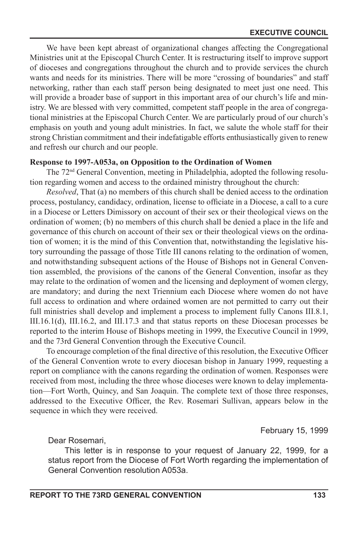We have been kept abreast of organizational changes affecting the Congregational Ministries unit at the Episcopal Church Center. It is restructuring itself to improve support of dioceses and congregations throughout the church and to provide services the church wants and needs for its ministries. There will be more "crossing of boundaries" and staff networking, rather than each staff person being designated to meet just one need. This will provide a broader base of support in this important area of our church's life and ministry. We are blessed with very committed, competent staff people in the area of congregational ministries at the Episcopal Church Center. We are particularly proud of our church's emphasis on youth and young adult ministries. In fact, we salute the whole staff for their strong Christian commitment and their indefatigable efforts enthusiastically given to renew and refresh our church and our people.

#### **Response to 1997-A053a, on Opposition to the Ordination of Women**

The 72nd General Convention, meeting in Philadelphia, adopted the following resolution regarding women and access to the ordained ministry throughout the church:

*Resolved*, That (a) no members of this church shall be denied access to the ordination process, postulancy, candidacy, ordination, license to officiate in a Diocese, a call to a cure in a Diocese or Letters Dimissory on account of their sex or their theological views on the ordination of women; (b) no members of this church shall be denied a place in the life and governance of this church on account of their sex or their theological views on the ordination of women; it is the mind of this Convention that, notwithstanding the legislative history surrounding the passage of those Title III canons relating to the ordination of women, and notwithstanding subsequent actions of the House of Bishops not in General Convention assembled, the provisions of the canons of the General Convention, insofar as they may relate to the ordination of women and the licensing and deployment of women clergy, are mandatory; and during the next Triennium each Diocese where women do not have full access to ordination and where ordained women are not permitted to carry out their full ministries shall develop and implement a process to implement fully Canons III.8.1, III.16.1(d), III.16.2, and III.17.3 and that status reports on these Diocesan processes be reported to the interim House of Bishops meeting in 1999, the Executive Council in 1999, and the 73rd General Convention through the Executive Council.

To encourage completion of the final directive of this resolution, the Executive Officer of the General Convention wrote to every diocesan bishop in January 1999, requesting a report on compliance with the canons regarding the ordination of women. Responses were received from most, including the three whose dioceses were known to delay implementation—Fort Worth, Quincy, and San Joaquin. The complete text of those three responses, addressed to the Executive Officer, the Rev. Rosemari Sullivan, appears below in the sequence in which they were received.

February 15, 1999

Dear Rosemari,

This letter is in response to your request of January 22, 1999, for a status report from the Diocese of Fort Worth regarding the implementation of General Convention resolution A053a.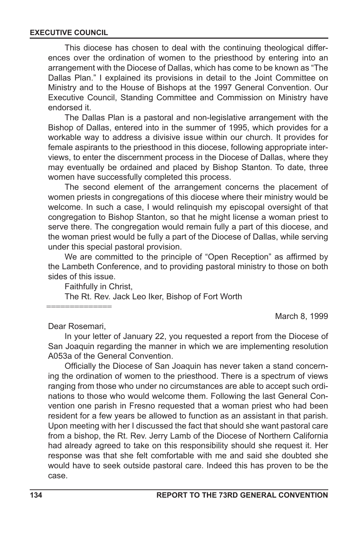This diocese has chosen to deal with the continuing theological differences over the ordination of women to the priesthood by entering into an arrangement with the Diocese of Dallas, which has come to be known as "The Dallas Plan." I explained its provisions in detail to the Joint Committee on Ministry and to the House of Bishops at the 1997 General Convention. Our Executive Council, Standing Committee and Commission on Ministry have endorsed it.

The Dallas Plan is a pastoral and non-legislative arrangement with the Bishop of Dallas, entered into in the summer of 1995, which provides for a workable way to address a divisive issue within our church. It provides for female aspirants to the priesthood in this diocese, following appropriate interviews, to enter the discernment process in the Diocese of Dallas, where they may eventually be ordained and placed by Bishop Stanton. To date, three women have successfully completed this process.

The second element of the arrangement concerns the placement of women priests in congregations of this diocese where their ministry would be welcome. In such a case, I would relinquish my episcopal oversight of that congregation to Bishop Stanton, so that he might license a woman priest to serve there. The congregation would remain fully a part of this diocese, and the woman priest would be fully a part of the Diocese of Dallas, while serving under this special pastoral provision.

We are committed to the principle of "Open Reception" as affirmed by the Lambeth Conference, and to providing pastoral ministry to those on both sides of this issue.

Faithfully in Christ,

The Rt. Rev. Jack Leo Iker, Bishop of Fort Worth

==============

March 8, 1999

Dear Rosemari,

In your letter of January 22, you requested a report from the Diocese of San Joaquin regarding the manner in which we are implementing resolution A053a of the General Convention.

Officially the Diocese of San Joaquin has never taken a stand concerning the ordination of women to the priesthood. There is a spectrum of views ranging from those who under no circumstances are able to accept such ordinations to those who would welcome them. Following the last General Convention one parish in Fresno requested that a woman priest who had been resident for a few years be allowed to function as an assistant in that parish. Upon meeting with her I discussed the fact that should she want pastoral care from a bishop, the Rt. Rev. Jerry Lamb of the Diocese of Northern California had already agreed to take on this responsibility should she request it. Her response was that she felt comfortable with me and said she doubted she would have to seek outside pastoral care. Indeed this has proven to be the case.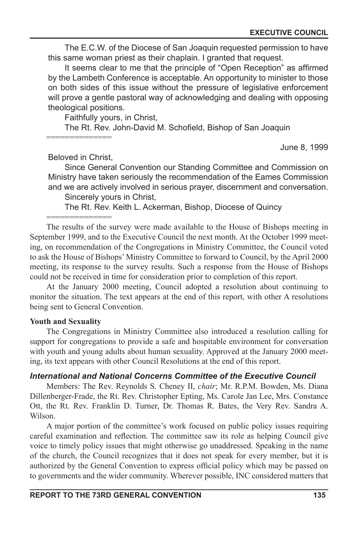The E.C.W. of the Diocese of San Joaquin requested permission to have this same woman priest as their chaplain. I granted that request.

It seems clear to me that the principle of "Open Reception" as affirmed by the Lambeth Conference is acceptable. An opportunity to minister to those on both sides of this issue without the pressure of legislative enforcement will prove a gentle pastoral way of acknowledging and dealing with opposing theological positions.

Faithfully yours, in Christ,

The Rt. Rev. John-David M. Schofield, Bishop of San Joaquin

==============

June 8, 1999

Beloved in Christ,

==============

Since General Convention our Standing Committee and Commission on Ministry have taken seriously the recommendation of the Eames Commission and we are actively involved in serious prayer, discernment and conversation.

Sincerely yours in Christ,

The Rt. Rev. Keith L. Ackerman, Bishop, Diocese of Quincy

The results of the survey were made available to the House of Bishops meeting in September 1999, and to the Executive Council the next month. At the October 1999 meeting, on recommendation of the Congregations in Ministry Committee, the Council voted to ask the House of Bishops' Ministry Committee to forward to Council, by the April 2000 meeting, its response to the survey results. Such a response from the House of Bishops could not be received in time for consideration prior to completion of this report.

At the January 2000 meeting, Council adopted a resolution about continuing to monitor the situation. The text appears at the end of this report, with other A resolutions being sent to General Convention.

#### **Youth and Sexuality**

The Congregations in Ministry Committee also introduced a resolution calling for support for congregations to provide a safe and hospitable environment for conversation with youth and young adults about human sexuality. Approved at the January 2000 meeting, its text appears with other Council Resolutions at the end of this report.

### *International and National Concerns Committee of the Executive Council*

Members: The Rev. Reynolds S. Cheney II, *chair*; Mr. R.P.M. Bowden, Ms. Diana Dillenberger-Frade, the Rt. Rev. Christopher Epting, Ms. Carole Jan Lee, Mrs. Constance Ott, the Rt. Rev. Franklin D. Turner, Dr. Thomas R. Bates, the Very Rev. Sandra A. Wilson.

A major portion of the committee's work focused on public policy issues requiring careful examination and reflection. The committee saw its role as helping Council give voice to timely policy issues that might otherwise go unaddressed. Speaking in the name of the church, the Council recognizes that it does not speak for every member, but it is authorized by the General Convention to express official policy which may be passed on to governments and the wider community. Wherever possible, INC considered matters that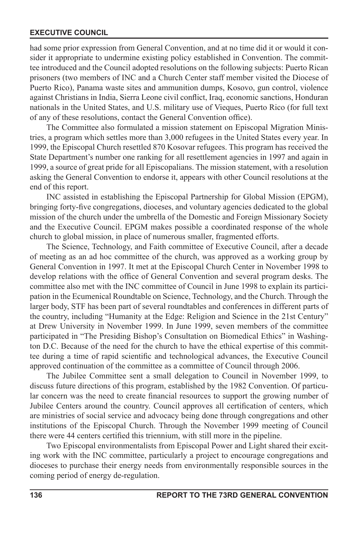had some prior expression from General Convention, and at no time did it or would it consider it appropriate to undermine existing policy established in Convention. The committee introduced and the Council adopted resolutions on the following subjects: Puerto Rican prisoners (two members of INC and a Church Center staff member visited the Diocese of Puerto Rico), Panama waste sites and ammunition dumps, Kosovo, gun control, violence against Christians in India, Sierra Leone civil conflict, Iraq, economic sanctions, Honduran nationals in the United States, and U.S. military use of Vieques, Puerto Rico (for full text of any of these resolutions, contact the General Convention office).

The Committee also formulated a mission statement on Episcopal Migration Ministries, a program which settles more than 3,000 refugees in the United States every year. In 1999, the Episcopal Church resettled 870 Kosovar refugees. This program has received the State Department's number one ranking for all resettlement agencies in 1997 and again in 1999, a source of great pride for all Episcopalians. The mission statement, with a resolution asking the General Convention to endorse it, appears with other Council resolutions at the end of this report.

INC assisted in establishing the Episcopal Partnership for Global Mission (EPGM), bringing forty-five congregations, dioceses, and voluntary agencies dedicated to the global mission of the church under the umbrella of the Domestic and Foreign Missionary Society and the Executive Council. EPGM makes possible a coordinated response of the whole church to global mission, in place of numerous smaller, fragmented efforts.

The Science, Technology, and Faith committee of Executive Council, after a decade of meeting as an ad hoc committee of the church, was approved as a working group by General Convention in 1997. It met at the Episcopal Church Center in November 1998 to develop relations with the office of General Convention and several program desks. The committee also met with the INC committee of Council in June 1998 to explain its participation in the Ecumenical Roundtable on Science, Technology, and the Church. Through the larger body, STF has been part of several roundtables and conferences in different parts of the country, including "Humanity at the Edge: Religion and Science in the 21st Century" at Drew University in November 1999. In June 1999, seven members of the committee participated in "The Presiding Bishop's Consultation on Biomedical Ethics" in Washington D.C. Because of the need for the church to have the ethical expertise of this committee during a time of rapid scientific and technological advances, the Executive Council approved continuation of the committee as a committee of Council through 2006.

The Jubilee Committee sent a small delegation to Council in November 1999, to discuss future directions of this program, established by the 1982 Convention. Of particular concern was the need to create financial resources to support the growing number of Jubilee Centers around the country. Council approves all certification of centers, which are ministries of social service and advocacy being done through congregations and other institutions of the Episcopal Church. Through the November 1999 meeting of Council there were 44 centers certified this triennium, with still more in the pipeline.

Two Episcopal environmentalists from Episcopal Power and Light shared their exciting work with the INC committee, particularly a project to encourage congregations and dioceses to purchase their energy needs from environmentally responsible sources in the coming period of energy de-regulation.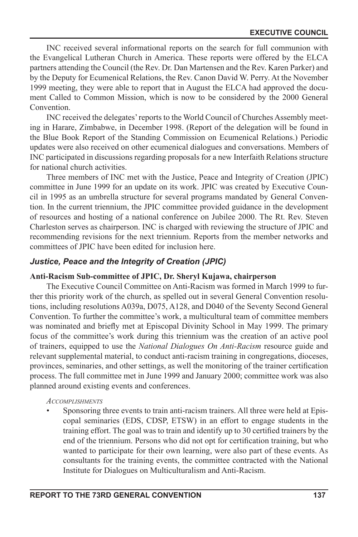INC received several informational reports on the search for full communion with the Evangelical Lutheran Church in America. These reports were offered by the ELCA partners attending the Council (the Rev. Dr. Dan Martensen and the Rev. Karen Parker) and by the Deputy for Ecumenical Relations, the Rev. Canon David W. Perry. At the November 1999 meeting, they were able to report that in August the ELCA had approved the document Called to Common Mission, which is now to be considered by the 2000 General Convention.

INC received the delegates' reports to the World Council of Churches Assembly meeting in Harare, Zimbabwe, in December 1998. (Report of the delegation will be found in the Blue Book Report of the Standing Commission on Ecumenical Relations.) Periodic updates were also received on other ecumenical dialogues and conversations. Members of INC participated in discussions regarding proposals for a new Interfaith Relations structure for national church activities.

Three members of INC met with the Justice, Peace and Integrity of Creation (JPIC) committee in June 1999 for an update on its work. JPIC was created by Executive Council in 1995 as an umbrella structure for several programs mandated by General Convention. In the current triennium, the JPIC committee provided guidance in the development of resources and hosting of a national conference on Jubilee 2000. The Rt. Rev. Steven Charleston serves as chairperson. INC is charged with reviewing the structure of JPIC and recommending revisions for the next triennium. Reports from the member networks and committees of JPIC have been edited for inclusion here.

# *Justice, Peace and the Integrity of Creation (JPIC)*

#### **Anti-Racism Sub-committee of JPIC, Dr. Sheryl Kujawa, chairperson**

The Executive Council Committee on Anti-Racism was formed in March 1999 to further this priority work of the church, as spelled out in several General Convention resolutions, including resolutions A039a, D075, A128, and D040 of the Seventy Second General Convention. To further the committee's work, a multicultural team of committee members was nominated and briefly met at Episcopal Divinity School in May 1999. The primary focus of the committee's work during this triennium was the creation of an active pool of trainers, equipped to use the *National Dialogues On Anti-Racism* resource guide and relevant supplemental material, to conduct anti-racism training in congregations, dioceses, provinces, seminaries, and other settings, as well the monitoring of the trainer certication process. The full committee met in June 1999 and January 2000; committee work was also planned around existing events and conferences.

#### *ACCOMPLISHMENTS*

• Sponsoring three events to train anti-racism trainers. All three were held at Episcopal seminaries (EDS, CDSP, ETSW) in an effort to engage students in the training effort. The goal was to train and identify up to 30 certied trainers by the end of the triennium. Persons who did not opt for certification training, but who wanted to participate for their own learning, were also part of these events. As consultants for the training events, the committee contracted with the National Institute for Dialogues on Multiculturalism and Anti-Racism.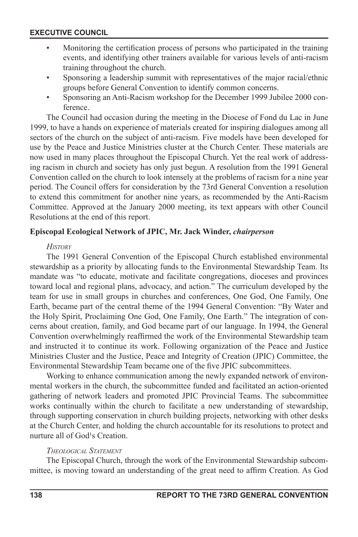- Monitoring the certification process of persons who participated in the training events, and identifying other trainers available for various levels of anti-racism training throughout the church.
- Sponsoring a leadership summit with representatives of the major racial/ethnic groups before General Convention to identify common concerns.
- Sponsoring an Anti-Racism workshop for the December 1999 Jubilee 2000 conference.

The Council had occasion during the meeting in the Diocese of Fond du Lac in June 1999, to have a hands on experience of materials created for inspiring dialogues among all sectors of the church on the subject of anti-racism. Five models have been developed for use by the Peace and Justice Ministries cluster at the Church Center. These materials are now used in many places throughout the Episcopal Church. Yet the real work of addressing racism in church and society has only just begun. A resolution from the 1991 General Convention called on the church to look intensely at the problems of racism for a nine year period. The Council offers for consideration by the 73rd General Convention a resolution to extend this commitment for another nine years, as recommended by the Anti-Racism Committee. Approved at the January 2000 meeting, its text appears with other Council Resolutions at the end of this report.

#### **Episcopal Ecological Network of JPIC, Mr. Jack Winder,** *chairperson*

#### *HISTORY*

The 1991 General Convention of the Episcopal Church established environmental stewardship as a priority by allocating funds to the Environmental Stewardship Team. Its mandate was "to educate, motivate and facilitate congregations, dioceses and provinces toward local and regional plans, advocacy, and action." The curriculum developed by the team for use in small groups in churches and conferences, One God, One Family, One Earth, became part of the central theme of the 1994 General Convention: "By Water and the Holy Spirit, Proclaiming One God, One Family, One Earth." The integration of concerns about creation, family, and God became part of our language. In 1994, the General Convention overwhelmingly reaffirmed the work of the Environmental Stewardship team and instructed it to continue its work. Following organization of the Peace and Justice Ministries Cluster and the Justice, Peace and Integrity of Creation (JPIC) Committee, the Environmental Stewardship Team became one of the five JPIC subcommittees.

Working to enhance communication among the newly expanded network of environmental workers in the church, the subcommittee funded and facilitated an action-oriented gathering of network leaders and promoted JPIC Provincial Teams. The subcommittee works continually within the church to facilitate a new understanding of stewardship, through supporting conservation in church building projects, networking with other desks at the Church Center, and holding the church accountable for its resolutions to protect and nurture all of God<sup>1</sup>s Creation.

#### *THEOLOGICAL STATEMENT*

The Episcopal Church, through the work of the Environmental Stewardship subcommittee, is moving toward an understanding of the great need to affirm Creation. As God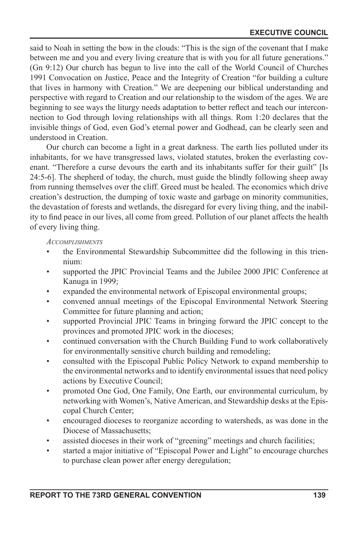said to Noah in setting the bow in the clouds: "This is the sign of the covenant that I make between me and you and every living creature that is with you for all future generations." (Gn 9:12) Our church has begun to live into the call of the World Council of Churches 1991 Convocation on Justice, Peace and the Integrity of Creation "for building a culture that lives in harmony with Creation." We are deepening our biblical understanding and perspective with regard to Creation and our relationship to the wisdom of the ages. We are beginning to see ways the liturgy needs adaptation to better reflect and teach our interconnection to God through loving relationships with all things. Rom 1:20 declares that the invisible things of God, even God's eternal power and Godhead, can be clearly seen and understood in Creation.

Our church can become a light in a great darkness. The earth lies polluted under its inhabitants, for we have transgressed laws, violated statutes, broken the everlasting covenant. "Therefore a curse devours the earth and its inhabitants suffer for their guilt" [Is 24:5-6]. The shepherd of today, the church, must guide the blindly following sheep away from running themselves over the cliff. Greed must be healed. The economics which drive creation's destruction, the dumping of toxic waste and garbage on minority communities, the devastation of forests and wetlands, the disregard for every living thing, and the inability to find peace in our lives, all come from greed. Pollution of our planet affects the health of every living thing.

#### *ACCOMPLISHMENTS*

- the Environmental Stewardship Subcommittee did the following in this triennium:
- supported the JPIC Provincial Teams and the Jubilee 2000 JPIC Conference at Kanuga in 1999;
- expanded the environmental network of Episcopal environmental groups;
- convened annual meetings of the Episcopal Environmental Network Steering Committee for future planning and action;
- supported Provincial JPIC Teams in bringing forward the JPIC concept to the provinces and promoted JPIC work in the dioceses;
- continued conversation with the Church Building Fund to work collaboratively for environmentally sensitive church building and remodeling;
- consulted with the Episcopal Public Policy Network to expand membership to the environmental networks and to identify environmental issues that need policy actions by Executive Council;
- promoted One God, One Family, One Earth, our environmental curriculum, by networking with Women's, Native American, and Stewardship desks at the Episcopal Church Center;
- encouraged dioceses to reorganize according to watersheds, as was done in the Diocese of Massachusetts;
- assisted dioceses in their work of "greening" meetings and church facilities;
- started a major initiative of "Episcopal Power and Light" to encourage churches to purchase clean power after energy deregulation;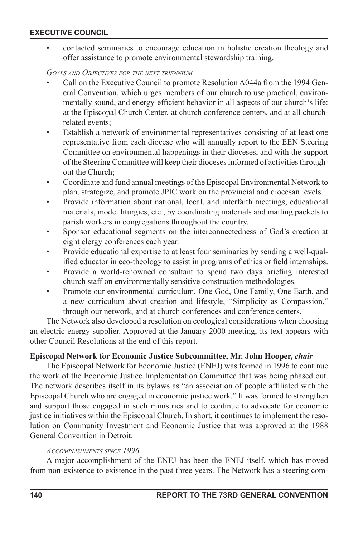• contacted seminaries to encourage education in holistic creation theology and offer assistance to promote environmental stewardship training.

#### *GOALS AND OBJECTIVES FOR THE NEXT TRIENNIUM*

- Call on the Executive Council to promote Resolution A044a from the 1994 General Convention, which urges members of our church to use practical, environmentally sound, and energy-efficient behavior in all aspects of our church's life: at the Episcopal Church Center, at church conference centers, and at all churchrelated events;
- Establish a network of environmental representatives consisting of at least one representative from each diocese who will annually report to the EEN Steering Committee on environmental happenings in their dioceses, and with the support of the Steering Committee will keep their dioceses informed of activities throughout the Church;
- Coordinate and fund annual meetings of the Episcopal Environmental Network to plan, strategize, and promote JPIC work on the provincial and diocesan levels.
- Provide information about national, local, and interfaith meetings, educational materials, model liturgies, etc., by coordinating materials and mailing packets to parish workers in congregations throughout the country.
- Sponsor educational segments on the interconnectedness of God's creation at eight clergy conferences each year.
- Provide educational expertise to at least four seminaries by sending a well-qualified educator in eco-theology to assist in programs of ethics or field internships.
- Provide a world-renowned consultant to spend two days briefing interested church staff on environmentally sensitive construction methodologies.
- Promote our environmental curriculum, One God, One Family, One Earth, and a new curriculum about creation and lifestyle, "Simplicity as Compassion," through our network, and at church conferences and conference centers.

The Network also developed a resolution on ecological considerations when choosing an electric energy supplier. Approved at the January 2000 meeting, its text appears with other Council Resolutions at the end of this report.

#### **Episcopal Network for Economic Justice Subcommittee, Mr. John Hooper,** *chair*

The Episcopal Network for Economic Justice (ENEJ) was formed in 1996 to continue the work of the Economic Justice Implementation Committee that was being phased out. The network describes itself in its bylaws as "an association of people afliated with the Episcopal Church who are engaged in economic justice work." It was formed to strengthen and support those engaged in such ministries and to continue to advocate for economic justice initiatives within the Episcopal Church. In short, it continues to implement the resolution on Community Investment and Economic Justice that was approved at the 1988 General Convention in Detroit.

#### *ACCOMPLISHMENTS SINCE 1996*

A major accomplishment of the ENEJ has been the ENEJ itself, which has moved from non-existence to existence in the past three years. The Network has a steering com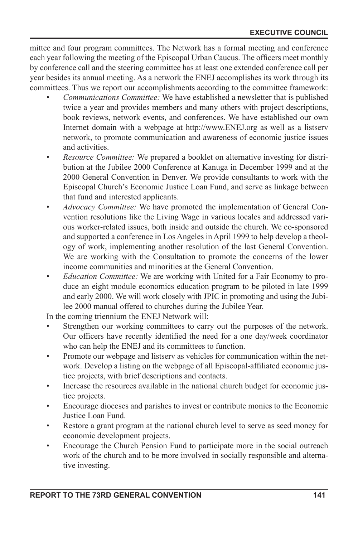mittee and four program committees. The Network has a formal meeting and conference each year following the meeting of the Episcopal Urban Caucus. The officers meet monthly by conference call and the steering committee has at least one extended conference call per year besides its annual meeting. As a network the ENEJ accomplishes its work through its committees. Thus we report our accomplishments according to the committee framework:

- *Communications Committee:* We have established a newsletter that is published twice a year and provides members and many others with project descriptions, book reviews, network events, and conferences. We have established our own Internet domain with a webpage at http://www.ENEJ.org as well as a listserv network, to promote communication and awareness of economic justice issues and activities.
- *Resource Committee:* We prepared a booklet on alternative investing for distribution at the Jubilee 2000 Conference at Kanuga in December 1999 and at the 2000 General Convention in Denver. We provide consultants to work with the Episcopal Church's Economic Justice Loan Fund, and serve as linkage between that fund and interested applicants.
- *Advocacy Committee:* We have promoted the implementation of General Convention resolutions like the Living Wage in various locales and addressed various worker-related issues, both inside and outside the church. We co-sponsored and supported a conference in Los Angeles in April 1999 to help develop a theology of work, implementing another resolution of the last General Convention. We are working with the Consultation to promote the concerns of the lower income communities and minorities at the General Convention.
- *Education Committee:* We are working with United for a Fair Economy to produce an eight module economics education program to be piloted in late 1999 and early 2000. We will work closely with JPIC in promoting and using the Jubilee 2000 manual offered to churches during the Jubilee Year.

In the coming triennium the ENEJ Network will:

- Strengthen our working committees to carry out the purposes of the network. Our officers have recently identified the need for a one day/week coordinator who can help the ENEJ and its committees to function.
- Promote our webpage and listserv as vehicles for communication within the network. Develop a listing on the webpage of all Episcopal-afliated economic justice projects, with brief descriptions and contacts.
- Increase the resources available in the national church budget for economic justice projects.
- Encourage dioceses and parishes to invest or contribute monies to the Economic Justice Loan Fund.
- Restore a grant program at the national church level to serve as seed money for economic development projects.
- Encourage the Church Pension Fund to participate more in the social outreach work of the church and to be more involved in socially responsible and alternative investing.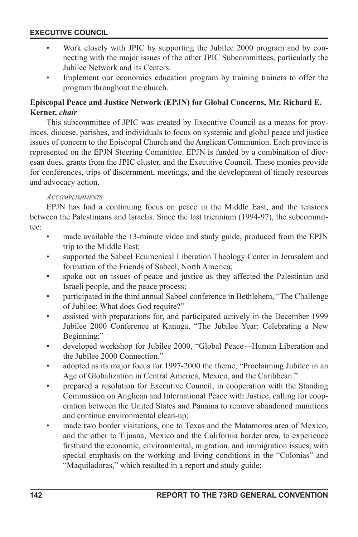- Work closely with JPIC by supporting the Jubilee 2000 program and by connecting with the major issues of the other JPIC Subcommittees, particularly the Jubilee Network and its Centers.
- Implement our economics education program by training trainers to offer the program throughout the church.

# **Episcopal Peace and Justice Network (EPJN) for Global Concerns, Mr. Richard E. Kerner,** *chair*

This subcommittee of JPIC was created by Executive Council as a means for provinces, diocese, parishes, and individuals to focus on systemic and global peace and justice issues of concern to the Episcopal Church and the Anglican Communion. Each province is represented on the EPJN Steering Committee. EPJN is funded by a combination of diocesan dues, grants from the JPIC cluster, and the Executive Council. These monies provide for conferences, trips of discernment, meetings, and the development of timely resources and advocacy action.

#### *ACCOMPLISHMENTS*

EPJN has had a continuing focus on peace in the Middle East, and the tensions between the Palestinians and Israelis. Since the last triennium (1994-97), the subcommittee:

- made available the 13-minute video and study guide, produced from the EPJN trip to the Middle East;
- supported the Sabeel Ecumenical Liberation Theology Center in Jerusalem and formation of the Friends of Sabeel, North America;
- spoke out on issues of peace and justice as they affected the Palestinian and Israeli people, and the peace process;
- participated in the third annual Sabeel conference in Bethlehem, "The Challenge of Jubilee: What does God require?"
- assisted with preparations for, and participated actively in the December 1999 Jubilee 2000 Conference at Kanuga, "The Jubilee Year: Celebrating a New Beginning;"
- developed workshop for Jubilee 2000, "Global Peace—Human Liberation and the Jubilee 2000 Connection."
- adopted as its major focus for 1997-2000 the theme, "Proclaiming Jubilee in an Age of Globalization in Central America, Mexico, and the Caribbean."
- prepared a resolution for Executive Council, in cooperation with the Standing Commission on Anglican and International Peace with Justice, calling for cooperation between the United States and Panama to remove abandoned munitions and continue environmental clean-up;
- made two border visitations, one to Texas and the Matamoros area of Mexico, and the other to Tijuana, Mexico and the California border area, to experience firsthand the economic, environmental, migration, and immigration issues, with special emphasis on the working and living conditions in the "Colonias" and "Maquiladoras," which resulted in a report and study guide;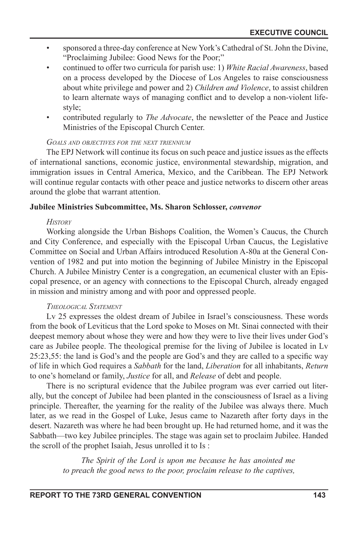- sponsored a three-day conference at New York's Cathedral of St. John the Divine, "Proclaiming Jubilee: Good News for the Poor;"
- continued to offer two curricula for parish use: 1) *White Racial Awareness*, based on a process developed by the Diocese of Los Angeles to raise consciousness about white privilege and power and 2) *Children and Violence*, to assist children to learn alternate ways of managing conflict and to develop a non-violent lifestyle;
- contributed regularly to *The Advocate*, the newsletter of the Peace and Justice Ministries of the Episcopal Church Center.

#### *GOALS AND OBJECTIVES FOR THE NEXT TRIENNIUM*

The EPJ Network will continue its focus on such peace and justice issues as the effects of international sanctions, economic justice, environmental stewardship, migration, and immigration issues in Central America, Mexico, and the Caribbean. The EPJ Network will continue regular contacts with other peace and justice networks to discern other areas around the globe that warrant attention.

#### **Jubilee Ministries Subcommittee, Ms. Sharon Schlosser,** *convenor*

#### *HISTORY*

Working alongside the Urban Bishops Coalition, the Women's Caucus, the Church and City Conference, and especially with the Episcopal Urban Caucus, the Legislative Committee on Social and Urban Affairs introduced Resolution A-80a at the General Convention of 1982 and put into motion the beginning of Jubilee Ministry in the Episcopal Church. A Jubilee Ministry Center is a congregation, an ecumenical cluster with an Episcopal presence, or an agency with connections to the Episcopal Church, already engaged in mission and ministry among and with poor and oppressed people.

#### *THEOLOGICAL STATEMENT*

Lv 25 expresses the oldest dream of Jubilee in Israel's consciousness. These words from the book of Leviticus that the Lord spoke to Moses on Mt. Sinai connected with their deepest memory about whose they were and how they were to live their lives under God's care as Jubilee people. The theological premise for the living of Jubilee is located in Lv 25:23,55: the land is God's and the people are God's and they are called to a specific way of life in which God requires a *Sabbath* for the land, *Liberation* for all inhabitants, *Return*  to one's homeland or family, *Justice* for all, and *Release* of debt and people.

There is no scriptural evidence that the Jubilee program was ever carried out literally, but the concept of Jubilee had been planted in the consciousness of Israel as a living principle. Thereafter, the yearning for the reality of the Jubilee was always there. Much later, as we read in the Gospel of Luke, Jesus came to Nazareth after forty days in the desert. Nazareth was where he had been brought up. He had returned home, and it was the Sabbath—two key Jubilee principles. The stage was again set to proclaim Jubilee. Handed the scroll of the prophet Isaiah, Jesus unrolled it to Is :

> *The Spirit of the Lord is upon me because he has anointed me to preach the good news to the poor, proclaim release to the captives,*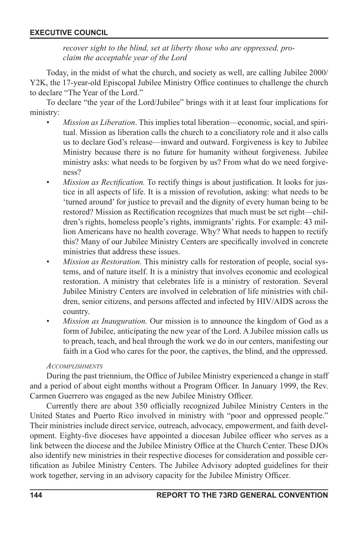*recover sight to the blind, set at liberty those who are oppressed, proclaim the acceptable year of the Lord*

Today, in the midst of what the church, and society as well, are calling Jubilee 2000/ Y2K, the 17-year-old Episcopal Jubilee Ministry Office continues to challenge the church to declare "The Year of the Lord."

To declare "the year of the Lord/Jubilee" brings with it at least four implications for ministry:

- *Mission as Liberation*. This implies total liberation—economic, social, and spiritual. Mission as liberation calls the church to a conciliatory role and it also calls us to declare God's release—inward and outward. Forgiveness is key to Jubilee Ministry because there is no future for humanity without forgiveness. Jubilee ministry asks: what needs to be forgiven by us? From what do we need forgiveness?
- *Mission as Rectification*. To rectify things is about justification. It looks for justice in all aspects of life. It is a mission of revolution, asking: what needs to be 'turned around' for justice to prevail and the dignity of every human being to be restored? Mission as Rectification recognizes that much must be set right—children's rights, homeless people's rights, immigrants' rights. For example: 43 million Americans have no health coverage. Why? What needs to happen to rectify this? Many of our Jubilee Ministry Centers are specifically involved in concrete ministries that address these issues.
- *Mission as Restoration.* This ministry calls for restoration of people, social systems, and of nature itself. It is a ministry that involves economic and ecological restoration. A ministry that celebrates life is a ministry of restoration. Several Jubilee Ministry Centers are involved in celebration of life ministries with children, senior citizens, and persons affected and infected by HIV/AIDS across the country.
- *Mission as Inauguration.* Our mission is to announce the kingdom of God as a form of Jubilee, anticipating the new year of the Lord. A Jubilee mission calls us to preach, teach, and heal through the work we do in our centers, manifesting our faith in a God who cares for the poor, the captives, the blind, and the oppressed.

#### *ACCOMPLISHMENTS*

During the past triennium, the Office of Jubilee Ministry experienced a change in staff and a period of about eight months without a Program Officer. In January 1999, the Rev. Carmen Guerrero was engaged as the new Jubilee Ministry Officer.

Currently there are about 350 officially recognized Jubilee Ministry Centers in the United States and Puerto Rico involved in ministry with "poor and oppressed people." Their ministries include direct service, outreach, advocacy, empowerment, and faith development. Eighty-five dioceses have appointed a diocesan Jubilee officer who serves as a link between the diocese and the Jubilee Ministry Office at the Church Center. These DJOs also identify new ministries in their respective dioceses for consideration and possible certification as Jubilee Ministry Centers. The Jubilee Advisory adopted guidelines for their work together, serving in an advisory capacity for the Jubilee Ministry Officer.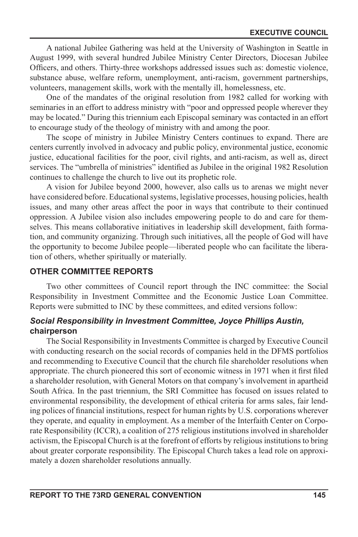A national Jubilee Gathering was held at the University of Washington in Seattle in August 1999, with several hundred Jubilee Ministry Center Directors, Diocesan Jubilee Officers, and others. Thirty-three workshops addressed issues such as: domestic violence, substance abuse, welfare reform, unemployment, anti-racism, government partnerships, volunteers, management skills, work with the mentally ill, homelessness, etc.

One of the mandates of the original resolution from 1982 called for working with seminaries in an effort to address ministry with "poor and oppressed people wherever they may be located." During this triennium each Episcopal seminary was contacted in an effort to encourage study of the theology of ministry with and among the poor.

The scope of ministry in Jubilee Ministry Centers continues to expand. There are centers currently involved in advocacy and public policy, environmental justice, economic justice, educational facilities for the poor, civil rights, and anti-racism, as well as, direct services. The "umbrella of ministries" identified as Jubilee in the original 1982 Resolution continues to challenge the church to live out its prophetic role.

A vision for Jubilee beyond 2000, however, also calls us to arenas we might never have considered before. Educational systems, legislative processes, housing policies, health issues, and many other areas affect the poor in ways that contribute to their continued oppression. A Jubilee vision also includes empowering people to do and care for themselves. This means collaborative initiatives in leadership skill development, faith formation, and community organizing. Through such initiatives, all the people of God will have the opportunity to become Jubilee people—liberated people who can facilitate the liberation of others, whether spiritually or materially.

# **OTHER COMMITTEE REPORTS**

Two other committees of Council report through the INC committee: the Social Responsibility in Investment Committee and the Economic Justice Loan Committee. Reports were submitted to INC by these committees, and edited versions follow:

## *Social Responsibility in Investment Committee, Joyce Phillips Austin,*  **chairperson**

The Social Responsibility in Investments Committee is charged by Executive Council with conducting research on the social records of companies held in the DFMS portfolios and recommending to Executive Council that the church file shareholder resolutions when appropriate. The church pioneered this sort of economic witness in 1971 when it first filed a shareholder resolution, with General Motors on that company's involvement in apartheid South Africa. In the past triennium, the SRI Committee has focused on issues related to environmental responsibility, the development of ethical criteria for arms sales, fair lending polices of nancial institutions, respect for human rights by U.S. corporations wherever they operate, and equality in employment. As a member of the Interfaith Center on Corporate Responsibility (ICCR), a coalition of 275 religious institutions involved in shareholder activism, the Episcopal Church is at the forefront of efforts by religious institutions to bring about greater corporate responsibility. The Episcopal Church takes a lead role on approximately a dozen shareholder resolutions annually.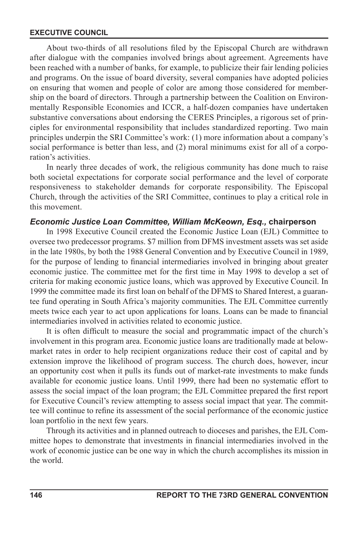About two-thirds of all resolutions filed by the Episcopal Church are withdrawn after dialogue with the companies involved brings about agreement. Agreements have been reached with a number of banks, for example, to publicize their fair lending policies and programs. On the issue of board diversity, several companies have adopted policies on ensuring that women and people of color are among those considered for membership on the board of directors. Through a partnership between the Coalition on Environmentally Responsible Economies and ICCR, a half-dozen companies have undertaken substantive conversations about endorsing the CERES Principles, a rigorous set of principles for environmental responsibility that includes standardized reporting. Two main principles underpin the SRI Committee's work: (1) more information about a company's social performance is better than less, and (2) moral minimums exist for all of a corporation's activities.

In nearly three decades of work, the religious community has done much to raise both societal expectations for corporate social performance and the level of corporate responsiveness to stakeholder demands for corporate responsibility. The Episcopal Church, through the activities of the SRI Committee, continues to play a critical role in this movement.

#### *Economic Justice Loan Committee, William McKeown, Esq.,* **chairperson**

In 1998 Executive Council created the Economic Justice Loan (EJL) Committee to oversee two predecessor programs. \$7 million from DFMS investment assets was set aside in the late 1980s, by both the 1988 General Convention and by Executive Council in 1989, for the purpose of lending to financial intermediaries involved in bringing about greater economic justice. The committee met for the first time in May 1998 to develop a set of criteria for making economic justice loans, which was approved by Executive Council. In 1999 the committee made its first loan on behalf of the DFMS to Shared Interest, a guarantee fund operating in South Africa's majority communities. The EJL Committee currently meets twice each year to act upon applications for loans. Loans can be made to financial intermediaries involved in activities related to economic justice.

It is often difficult to measure the social and programmatic impact of the church's involvement in this program area. Economic justice loans are traditionally made at belowmarket rates in order to help recipient organizations reduce their cost of capital and by extension improve the likelihood of program success. The church does, however, incur an opportunity cost when it pulls its funds out of market-rate investments to make funds available for economic justice loans. Until 1999, there had been no systematic effort to assess the social impact of the loan program; the EJL Committee prepared the first report for Executive Council's review attempting to assess social impact that year. The committee will continue to refine its assessment of the social performance of the economic justice loan portfolio in the next few years.

Through its activities and in planned outreach to dioceses and parishes, the EJL Committee hopes to demonstrate that investments in nancial intermediaries involved in the work of economic justice can be one way in which the church accomplishes its mission in the world.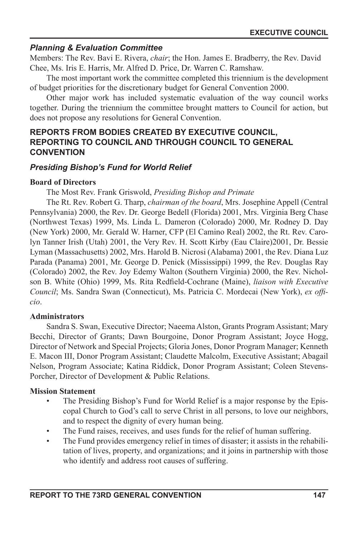# *Planning & Evaluation Committee*

Members: The Rev. Bavi E. Rivera, *chair*; the Hon. James E. Bradberry, the Rev. David Chee, Ms. Iris E. Harris, Mr. Alfred D. Price, Dr. Warren C. Ramshaw.

The most important work the committee completed this triennium is the development of budget priorities for the discretionary budget for General Convention 2000.

Other major work has included systematic evaluation of the way council works together. During the triennium the committee brought matters to Council for action, but does not propose any resolutions for General Convention.

# **REPORTS FROM BODIES CREATED BY EXECUTIVE COUNCIL, REPORTING TO COUNCIL AND THROUGH COUNCIL TO GENERAL CONVENTION**

## *Presiding Bishop's Fund for World Relief*

#### **Board of Directors**

The Most Rev. Frank Griswold, *Presiding Bishop and Primate* 

The Rt. Rev. Robert G. Tharp, *chairman of the board*, Mrs. Josephine Appell (Central Pennsylvania) 2000, the Rev. Dr. George Bedell (Florida) 2001, Mrs. Virginia Berg Chase (Northwest Texas) 1999, Ms. Linda L. Dameron (Colorado) 2000, Mr. Rodney D. Day (New York) 2000, Mr. Gerald W. Harner, CFP (El Camino Real) 2002, the Rt. Rev. Carolyn Tanner Irish (Utah) 2001, the Very Rev. H. Scott Kirby (Eau Claire)2001, Dr. Bessie Lyman (Massachusetts) 2002, Mrs. Harold B. Nicrosi (Alabama) 2001, the Rev. Diana Luz Parada (Panama) 2001, Mr. George D. Penick (Mississippi) 1999, the Rev. Douglas Ray (Colorado) 2002, the Rev. Joy Edemy Walton (Southern Virginia) 2000, the Rev. Nicholson B. White (Ohio) 1999, Ms. Rita Redfield-Cochrane (Maine), liaison with Executive *Council*; Ms. Sandra Swan (Connecticut), Ms. Patricia C. Mordecai (New York), *ex officio*.

#### **Administrators**

Sandra S. Swan, Executive Director; Naeema Alston, Grants Program Assistant; Mary Becchi, Director of Grants; Dawn Bourgoine, Donor Program Assistant; Joyce Hogg, Director of Network and Special Projects; Gloria Jones, Donor Program Manager; Kenneth E. Macon III, Donor Program Assistant; Claudette Malcolm, Executive Assistant; Abagail Nelson, Program Associate; Katina Riddick, Donor Program Assistant; Coleen Stevens-Porcher, Director of Development & Public Relations.

#### **Mission Statement**

- The Presiding Bishop's Fund for World Relief is a major response by the Episcopal Church to God's call to serve Christ in all persons, to love our neighbors, and to respect the dignity of every human being.
- The Fund raises, receives, and uses funds for the relief of human suffering.
- The Fund provides emergency relief in times of disaster; it assists in the rehabilitation of lives, property, and organizations; and it joins in partnership with those who identify and address root causes of suffering.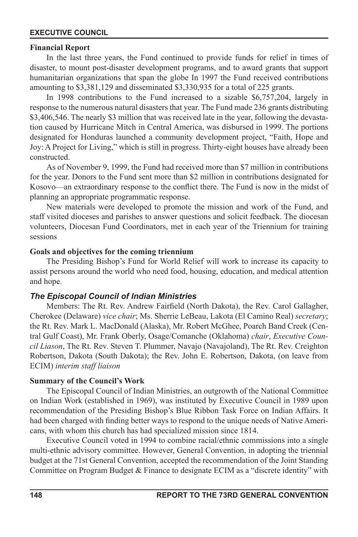#### **Financial Report**

In the last three years, the Fund continued to provide funds for relief in times of disaster, to mount post-disaster development programs, and to award grants that support humanitarian organizations that span the globe In 1997 the Fund received contributions amounting to \$3,381,129 and disseminated \$3,330,935 for a total of 225 grants.

In 1998 contributions to the Fund increased to a sizable \$6,757,204, largely in response to the numerous natural disasters that year. The Fund made 236 grants distributing \$3,406,546. The nearly \$3 million that was received late in the year, following the devastation caused by Hurricane Mitch in Central America, was disbursed in 1999. The portions designated for Honduras launched a community development project, "Faith, Hope and Joy: A Project for Living," which is still in progress. Thirty-eight houses have already been constructed.

As of November 9, 1999, the Fund had received more than \$7 million in contributions for the year. Donors to the Fund sent more than \$2 million in contributions designated for Kosovo—an extraordinary response to the conflict there. The Fund is now in the midst of planning an appropriate programmatic response.

New materials were developed to promote the mission and work of the Fund, and staff visited dioceses and parishes to answer questions and solicit feedback. The diocesan volunteers, Diocesan Fund Coordinators, met in each year of the Triennium for training sessions

#### **Goals and objectives for the coming triennium**

The Presiding Bishop's Fund for World Relief will work to increase its capacity to assist persons around the world who need food, housing, education, and medical attention and hope.

#### *The Episcopal Council of Indian Ministries*

Members: The Rt. Rev. Andrew Fairfield (North Dakota), the Rev. Carol Gallagher, Cherokee (Delaware) *vice chair*; Ms. Sherrie LeBeau, Lakota (El Camino Real) *secretary*; the Rt. Rev. Mark L. MacDonald (Alaska), Mr. Robert McGhee, Poarch Band Creek (Central Gulf Coast), Mr. Frank Oberly, Osage/Comanche (Oklahoma) *chair*, *Executive Council Liason*, The Rt. Rev. Steven T. Plummer, Navajo (Navajoland), The Rt. Rev. Creighton Robertson, Dakota (South Dakota); the Rev. John E. Robertson, Dakota, (on leave from ECIM) *interim staff liaison*

#### **Summary of the Council's Work**

The Episcopal Council of Indian Ministries, an outgrowth of the National Committee on Indian Work (established in 1969), was instituted by Executive Council in 1989 upon recommendation of the Presiding Bishop's Blue Ribbon Task Force on Indian Affairs. It had been charged with finding better ways to respond to the unique needs of Native Americans, with whom this church has had specialized mission since 1814.

Executive Council voted in 1994 to combine racial/ethnic commissions into a single multi-ethnic advisory committee. However, General Convention, in adopting the triennial budget at the 71st General Convention, accepted the recommendation of the Joint Standing Committee on Program Budget & Finance to designate ECIM as a "discrete identity" with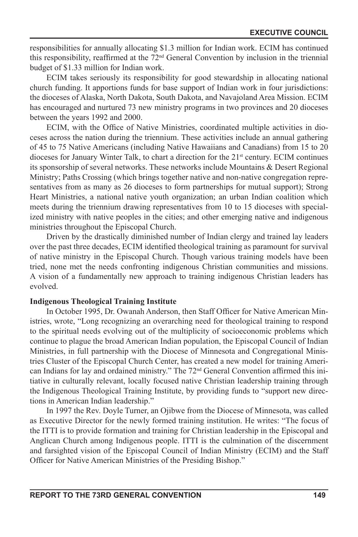responsibilities for annually allocating \$1.3 million for Indian work. ECIM has continued this responsibility, reafrmed at the 72nd General Convention by inclusion in the triennial budget of \$1.33 million for Indian work.

ECIM takes seriously its responsibility for good stewardship in allocating national church funding. It apportions funds for base support of Indian work in four jurisdictions: the dioceses of Alaska, North Dakota, South Dakota, and Navajoland Area Mission. ECIM has encouraged and nurtured 73 new ministry programs in two provinces and 20 dioceses between the years 1992 and 2000.

ECIM, with the Office of Native Ministries, coordinated multiple activities in dioceses across the nation during the triennium. These activities include an annual gathering of 45 to 75 Native Americans (including Native Hawaiians and Canadians) from 15 to 20 dioceses for January Winter Talk, to chart a direction for the 21<sup>st</sup> century. ECIM continues its sponsorship of several networks. These networks include Mountains & Desert Regional Ministry; Paths Crossing (which brings together native and non-native congregation representatives from as many as 26 dioceses to form partnerships for mutual support); Strong Heart Ministries, a national native youth organization; an urban Indian coalition which meets during the triennium drawing representatives from 10 to 15 dioceses with specialized ministry with native peoples in the cities; and other emerging native and indigenous ministries throughout the Episcopal Church.

Driven by the drastically diminished number of Indian clergy and trained lay leaders over the past three decades, ECIM identified theological training as paramount for survival of native ministry in the Episcopal Church. Though various training models have been tried, none met the needs confronting indigenous Christian communities and missions. A vision of a fundamentally new approach to training indigenous Christian leaders has evolved.

#### **Indigenous Theological Training Institute**

In October 1995, Dr. Owanah Anderson, then Staff Officer for Native American Ministries, wrote, "Long recognizing an overarching need for theological training to respond to the spiritual needs evolving out of the multiplicity of socioeconomic problems which continue to plague the broad American Indian population, the Episcopal Council of Indian Ministries, in full partnership with the Diocese of Minnesota and Congregational Ministries Cluster of the Episcopal Church Center, has created a new model for training American Indians for lay and ordained ministry." The 72<sup>nd</sup> General Convention affirmed this initiative in culturally relevant, locally focused native Christian leadership training through the Indigenous Theological Training Institute, by providing funds to "support new directions in American Indian leadership."

In 1997 the Rev. Doyle Turner, an Ojibwe from the Diocese of Minnesota, was called as Executive Director for the newly formed training institution. He writes: "The focus of the ITTI is to provide formation and training for Christian leadership in the Episcopal and Anglican Church among Indigenous people. ITTI is the culmination of the discernment and farsighted vision of the Episcopal Council of Indian Ministry (ECIM) and the Staff Officer for Native American Ministries of the Presiding Bishop."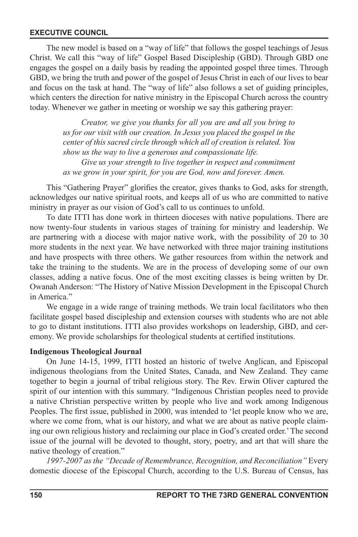The new model is based on a "way of life" that follows the gospel teachings of Jesus Christ. We call this "way of life" Gospel Based Discipleship (GBD). Through GBD one engages the gospel on a daily basis by reading the appointed gospel three times. Through GBD, we bring the truth and power of the gospel of Jesus Christ in each of our lives to bear and focus on the task at hand. The "way of life" also follows a set of guiding principles, which centers the direction for native ministry in the Episcopal Church across the country today. Whenever we gather in meeting or worship we say this gathering prayer:

> *Creator, we give you thanks for all you are and all you bring to us for our visit with our creation. In Jesus you placed the gospel in the center of this sacred circle through which all of creation is related. You show us the way to live a generous and compassionate life. Give us your strength to live together in respect and commitment as we grow in your spirit, for you are God, now and forever. Amen.*

This "Gathering Prayer" glorifies the creator, gives thanks to God, asks for strength, acknowledges our native spiritual roots, and keeps all of us who are committed to native ministry in prayer as our vision of God's call to us continues to unfold.

To date ITTI has done work in thirteen dioceses with native populations. There are now twenty-four students in various stages of training for ministry and leadership. We are partnering with a diocese with major native work, with the possibility of 20 to 30 more students in the next year. We have networked with three major training institutions and have prospects with three others. We gather resources from within the network and take the training to the students. We are in the process of developing some of our own classes, adding a native focus. One of the most exciting classes is being written by Dr. Owanah Anderson: "The History of Native Mission Development in the Episcopal Church in America."

We engage in a wide range of training methods. We train local facilitators who then facilitate gospel based discipleship and extension courses with students who are not able to go to distant institutions. ITTI also provides workshops on leadership, GBD, and ceremony. We provide scholarships for theological students at certified institutions.

#### **Indigenous Theological Journal**

On June 14-15, 1999, ITTI hosted an historic of twelve Anglican, and Episcopal indigenous theologians from the United States, Canada, and New Zealand. They came together to begin a journal of tribal religious story. The Rev. Erwin Oliver captured the spirit of our intention with this summary. "Indigenous Christian peoples need to provide a native Christian perspective written by people who live and work among Indigenous Peoples. The first issue, published in 2000, was intended to 'let people know who we are, where we come from, what is our history, and what we are about as native people claiming our own religious history and reclaiming our place in God's created order.' The second issue of the journal will be devoted to thought, story, poetry, and art that will share the native theology of creation."

*1997-2007 as the "Decade of Remembrance, Recognition, and Reconciliation"* Every domestic diocese of the Episcopal Church, according to the U.S. Bureau of Census, has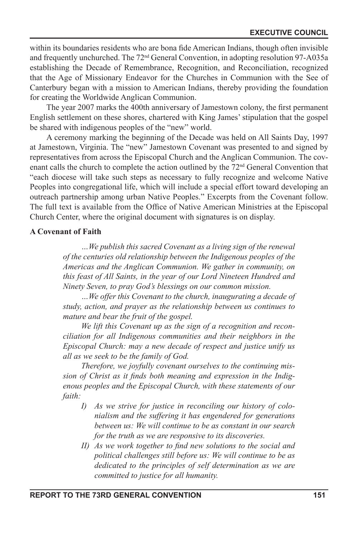within its boundaries residents who are bona fide American Indians, though often invisible and frequently unchurched. The 72nd General Convention, in adopting resolution 97-A035a establishing the Decade of Remembrance, Recognition, and Reconciliation, recognized that the Age of Missionary Endeavor for the Churches in Communion with the See of Canterbury began with a mission to American Indians, thereby providing the foundation for creating the Worldwide Anglican Communion.

The year 2007 marks the 400th anniversary of Jamestown colony, the first permanent English settlement on these shores, chartered with King James' stipulation that the gospel be shared with indigenous peoples of the "new" world.

A ceremony marking the beginning of the Decade was held on All Saints Day, 1997 at Jamestown, Virginia. The "new" Jamestown Covenant was presented to and signed by representatives from across the Episcopal Church and the Anglican Communion. The covenant calls the church to complete the action outlined by the 72nd General Convention that "each diocese will take such steps as necessary to fully recognize and welcome Native Peoples into congregational life, which will include a special effort toward developing an outreach partnership among urban Native Peoples." Excerpts from the Covenant follow. The full text is available from the Office of Native American Ministries at the Episcopal Church Center, where the original document with signatures is on display.

#### **A Covenant of Faith**

*…We publish this sacred Covenant as a living sign of the renewal of the centuries old relationship between the Indigenous peoples of the Americas and the Anglican Communion. We gather in community, on this feast of All Saints, in the year of our Lord Nineteen Hundred and Ninety Seven, to pray God's blessings on our common mission.*

*…We offer this Covenant to the church, inaugurating a decade of study, action, and prayer as the relationship between us continues to mature and bear the fruit of the gospel.*

*We lift this Covenant up as the sign of a recognition and reconciliation for all Indigenous communities and their neighbors in the Episcopal Church: may a new decade of respect and justice unify us all as we seek to be the family of God.*

*Therefore, we joyfully covenant ourselves to the continuing mis*sion of Christ as it finds both meaning and expression in the Indig*enous peoples and the Episcopal Church, with these statements of our faith:*

- *I) As we strive for justice in reconciling our history of colonialism and the suffering it has engendered for generations between us: We will continue to be as constant in our search for the truth as we are responsive to its discoveries.*
- *II) As we work together to find new solutions to the social and political challenges still before us: We will continue to be as dedicated to the principles of self determination as we are committed to justice for all humanity.*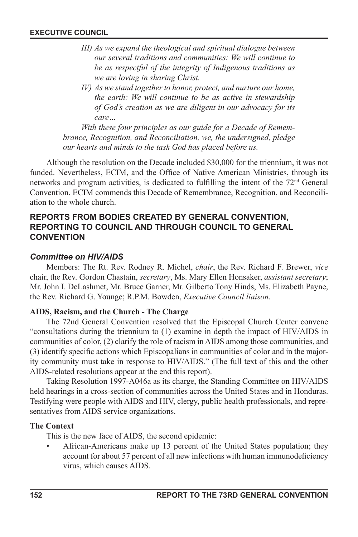- *III) As we expand the theological and spiritual dialogue between our several traditions and communities: We will continue to be as respectful of the integrity of Indigenous traditions as we are loving in sharing Christ.*
- *IV) As we stand together to honor, protect, and nurture our home, the earth: We will continue to be as active in stewardship of God's creation as we are diligent in our advocacy for its care…*

*With these four principles as our guide for a Decade of Remembrance, Recognition, and Reconciliation, we, the undersigned, pledge our hearts and minds to the task God has placed before us.* 

Although the resolution on the Decade included \$30,000 for the triennium, it was not funded. Nevertheless, ECIM, and the Office of Native American Ministries, through its networks and program activities, is dedicated to fulfilling the intent of the 72<sup>nd</sup> General Convention. ECIM commends this Decade of Remembrance, Recognition, and Reconciliation to the whole church.

# **REPORTS FROM BODIES CREATED BY GENERAL CONVENTION, REPORTING TO COUNCIL AND THROUGH COUNCIL TO GENERAL CONVENTION**

# *Committee on HIV/AIDS*

Members: The Rt. Rev. Rodney R. Michel, *chair*, the Rev. Richard F. Brewer, *vice*  chair, the Rev. Gordon Chastain, *secretary*, Ms. Mary Ellen Honsaker, *assistant secretary*; Mr. John I. DeLashmet, Mr. Bruce Garner, Mr. Gilberto Tony Hinds, Ms. Elizabeth Payne, the Rev. Richard G. Younge; R.P.M. Bowden, *Executive Council liaison*.

# **AIDS, Racism, and the Church - The Charge**

The 72nd General Convention resolved that the Episcopal Church Center convene "consultations during the triennium to (1) examine in depth the impact of HIV/AIDS in communities of color, (2) clarify the role of racism in AIDS among those communities, and (3) identify specic actions which Episcopalians in communities of color and in the majority community must take in response to HIV/AIDS." (The full text of this and the other AIDS-related resolutions appear at the end this report).

Taking Resolution 1997-A046a as its charge, the Standing Committee on HIV/AIDS held hearings in a cross-section of communities across the United States and in Honduras. Testifying were people with AIDS and HIV, clergy, public health professionals, and representatives from AIDS service organizations.

# **The Context**

This is the new face of AIDS, the second epidemic:

• African-Americans make up 13 percent of the United States population; they account for about 57 percent of all new infections with human immunodeficiency virus, which causes AIDS.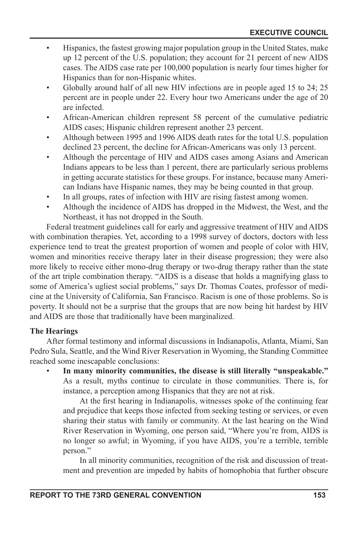- Hispanics, the fastest growing major population group in the United States, make up 12 percent of the U.S. population; they account for 21 percent of new AIDS cases. The AIDS case rate per 100,000 population is nearly four times higher for Hispanics than for non-Hispanic whites.
- Globally around half of all new HIV infections are in people aged 15 to 24; 25 percent are in people under 22. Every hour two Americans under the age of 20 are infected.
- African-American children represent 58 percent of the cumulative pediatric AIDS cases; Hispanic children represent another 23 percent.
- Although between 1995 and 1996 AIDS death rates for the total U.S. population declined 23 percent, the decline for African-Americans was only 13 percent.
- Although the percentage of HIV and AIDS cases among Asians and American Indians appears to be less than 1 percent, there are particularly serious problems in getting accurate statistics for these groups. For instance, because many American Indians have Hispanic names, they may be being counted in that group.
- In all groups, rates of infection with HIV are rising fastest among women.
- Although the incidence of AIDS has dropped in the Midwest, the West, and the Northeast, it has not dropped in the South.

Federal treatment guidelines call for early and aggressive treatment of HIV and AIDS with combination therapies. Yet, according to a 1998 survey of doctors, doctors with less experience tend to treat the greatest proportion of women and people of color with HIV, women and minorities receive therapy later in their disease progression; they were also more likely to receive either mono-drug therapy or two-drug therapy rather than the state of the art triple combination therapy. "AIDS is a disease that holds a magnifying glass to some of America's ugliest social problems," says Dr. Thomas Coates, professor of medicine at the University of California, San Francisco. Racism is one of those problems. So is poverty. It should not be a surprise that the groups that are now being hit hardest by HIV and AIDS are those that traditionally have been marginalized.

# **The Hearings**

After formal testimony and informal discussions in Indianapolis, Atlanta, Miami, San Pedro Sula, Seattle, and the Wind River Reservation in Wyoming, the Standing Committee reached some inescapable conclusions:

• **In many minority communities, the disease is still literally "unspeakable."** As a result, myths continue to circulate in those communities. There is, for instance, a perception among Hispanics that they are not at risk.

At the first hearing in Indianapolis, witnesses spoke of the continuing fear and prejudice that keeps those infected from seeking testing or services, or even sharing their status with family or community. At the last hearing on the Wind River Reservation in Wyoming, one person said, "Where you're from, AIDS is no longer so awful; in Wyoming, if you have AIDS, you're a terrible, terrible person."

In all minority communities, recognition of the risk and discussion of treatment and prevention are impeded by habits of homophobia that further obscure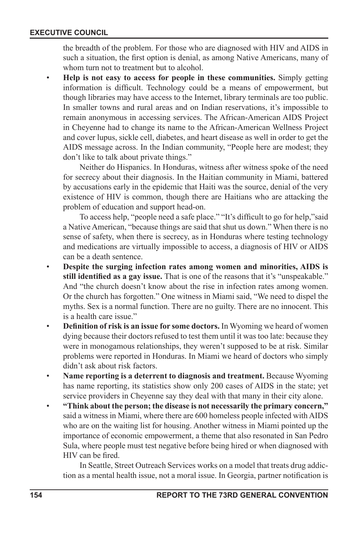the breadth of the problem. For those who are diagnosed with HIV and AIDS in such a situation, the first option is denial, as among Native Americans, many of whom turn not to treatment but to alcohol.

• **Help is not easy to access for people in these communities.** Simply getting information is difficult. Technology could be a means of empowerment, but though libraries may have access to the Internet, library terminals are too public. In smaller towns and rural areas and on Indian reservations, it's impossible to remain anonymous in accessing services. The African-American AIDS Project in Cheyenne had to change its name to the African-American Wellness Project and cover lupus, sickle cell, diabetes, and heart disease as well in order to get the AIDS message across. In the Indian community, "People here are modest; they don't like to talk about private things."

Neither do Hispanics. In Honduras, witness after witness spoke of the need for secrecy about their diagnosis. In the Haitian community in Miami, battered by accusations early in the epidemic that Haiti was the source, denial of the very existence of HIV is common, though there are Haitians who are attacking the problem of education and support head-on.

To access help, "people need a safe place." "It's difficult to go for help,"said a Native American, "because things are said that shut us down." When there is no sense of safety, when there is secrecy, as in Honduras where testing technology and medications are virtually impossible to access, a diagnosis of HIV or AIDS can be a death sentence.

- **Despite the surging infection rates among women and minorities, AIDS is**  still identified as a gay issue. That is one of the reasons that it's "unspeakable." And "the church doesn't know about the rise in infection rates among women. Or the church has forgotten." One witness in Miami said, "We need to dispel the myths. Sex is a normal function. There are no guilty. There are no innocent. This is a health care issue."
- **Definition of risk is an issue for some doctors.** In Wyoming we heard of women dying because their doctors refused to test them until it was too late: because they were in monogamous relationships, they weren't supposed to be at risk. Similar problems were reported in Honduras. In Miami we heard of doctors who simply didn't ask about risk factors.
- **Name reporting is a deterrent to diagnosis and treatment.** Because Wyoming has name reporting, its statistics show only 200 cases of AIDS in the state; yet service providers in Cheyenne say they deal with that many in their city alone.
- **"Think about the person; the disease is not necessarily the primary concern,"**  said a witness in Miami, where there are 600 homeless people infected with AIDS who are on the waiting list for housing. Another witness in Miami pointed up the importance of economic empowerment, a theme that also resonated in San Pedro Sula, where people must test negative before being hired or when diagnosed with HIV can be fired.

In Seattle, Street Outreach Services works on a model that treats drug addiction as a mental health issue, not a moral issue. In Georgia, partner notification is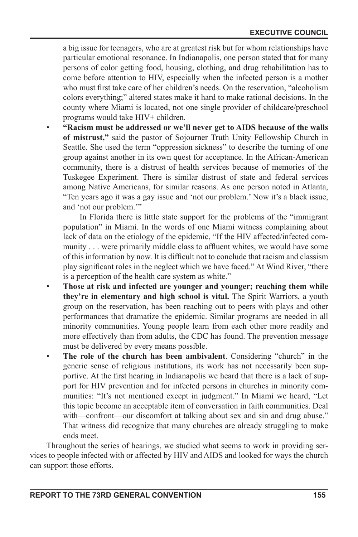a big issue for teenagers, who are at greatest risk but for whom relationships have particular emotional resonance. In Indianapolis, one person stated that for many persons of color getting food, housing, clothing, and drug rehabilitation has to come before attention to HIV, especially when the infected person is a mother who must first take care of her children's needs. On the reservation, "alcoholism colors everything;" altered states make it hard to make rational decisions. In the county where Miami is located, not one single provider of childcare/preschool programs would take HIV+ children.

• **"Racism must be addressed or we'll never get to AIDS because of the walls of mistrust,"** said the pastor of Sojourner Truth Unity Fellowship Church in Seattle. She used the term "oppression sickness" to describe the turning of one group against another in its own quest for acceptance. In the African-American community, there is a distrust of health services because of memories of the Tuskegee Experiment. There is similar distrust of state and federal services among Native Americans, for similar reasons. As one person noted in Atlanta, "Ten years ago it was a gay issue and 'not our problem.' Now it's a black issue, and 'not our problem.'"

In Florida there is little state support for the problems of the "immigrant population" in Miami. In the words of one Miami witness complaining about lack of data on the etiology of the epidemic, "If the HIV affected/infected community . . . were primarily middle class to affluent whites, we would have some of this information by now. It is difficult not to conclude that racism and classism play signicant roles in the neglect which we have faced." At Wind River, "there is a perception of the health care system as white."

- **Those at risk and infected are younger and younger; reaching them while they're in elementary and high school is vital.** The Spirit Warriors, a youth group on the reservation, has been reaching out to peers with plays and other performances that dramatize the epidemic. Similar programs are needed in all minority communities. Young people learn from each other more readily and more effectively than from adults, the CDC has found. The prevention message must be delivered by every means possible.
- **The role of the church has been ambivalent**. Considering "church" in the generic sense of religious institutions, its work has not necessarily been supportive. At the first hearing in Indianapolis we heard that there is a lack of support for HIV prevention and for infected persons in churches in minority communities: "It's not mentioned except in judgment." In Miami we heard, "Let this topic become an acceptable item of conversation in faith communities. Deal with—confront—our discomfort at talking about sex and sin and drug abuse." That witness did recognize that many churches are already struggling to make ends meet.

Throughout the series of hearings, we studied what seems to work in providing services to people infected with or affected by HIV and AIDS and looked for ways the church can support those efforts.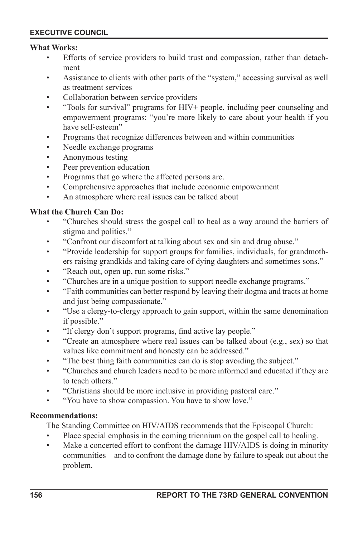#### **What Works:**

- Efforts of service providers to build trust and compassion, rather than detachment
- Assistance to clients with other parts of the "system," accessing survival as well as treatment services
- Collaboration between service providers
- "Tools for survival" programs for HIV+ people, including peer counseling and empowerment programs: "you're more likely to care about your health if you have self-esteem"
- Programs that recognize differences between and within communities
- Needle exchange programs
- Anonymous testing
- Peer prevention education
- Programs that go where the affected persons are.
- Comprehensive approaches that include economic empowerment
- An atmosphere where real issues can be talked about

## **What the Church Can Do:**

- "Churches should stress the gospel call to heal as a way around the barriers of stigma and politics."
- "Confront our discomfort at talking about sex and sin and drug abuse."
- "Provide leadership for support groups for families, individuals, for grandmothers raising grandkids and taking care of dying daughters and sometimes sons."
- "Reach out, open up, run some risks."
- "Churches are in a unique position to support needle exchange programs."
- "Faith communities can better respond by leaving their dogma and tracts at home and just being compassionate."
- "Use a clergy-to-clergy approach to gain support, within the same denomination if possible."
- "If clergy don't support programs, find active lay people."
- "Create an atmosphere where real issues can be talked about (e.g., sex) so that values like commitment and honesty can be addressed."
- "The best thing faith communities can do is stop avoiding the subject."
- "Churches and church leaders need to be more informed and educated if they are to teach others."
- "Christians should be more inclusive in providing pastoral care."
- "You have to show compassion. You have to show love."

#### **Recommendations:**

The Standing Committee on HIV/AIDS recommends that the Episcopal Church:

- Place special emphasis in the coming triennium on the gospel call to healing.
- Make a concerted effort to confront the damage HIV/AIDS is doing in minority communities—and to confront the damage done by failure to speak out about the problem.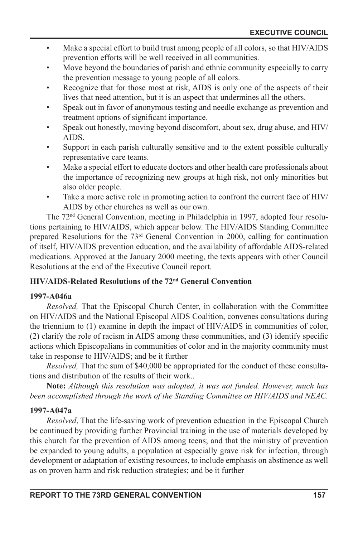- Make a special effort to build trust among people of all colors, so that HIV/AIDS prevention efforts will be well received in all communities.
- Move beyond the boundaries of parish and ethnic community especially to carry the prevention message to young people of all colors.
- Recognize that for those most at risk, AIDS is only one of the aspects of their lives that need attention, but it is an aspect that undermines all the others.
- Speak out in favor of anonymous testing and needle exchange as prevention and treatment options of significant importance.
- Speak out honestly, moving beyond discomfort, about sex, drug abuse, and HIV/ AIDS.
- Support in each parish culturally sensitive and to the extent possible culturally representative care teams.
- Make a special effort to educate doctors and other health care professionals about the importance of recognizing new groups at high risk, not only minorities but also older people.
- Take a more active role in promoting action to confront the current face of HIV/ AIDS by other churches as well as our own.

The 72nd General Convention, meeting in Philadelphia in 1997, adopted four resolutions pertaining to HIV/AIDS, which appear below. The HIV/AIDS Standing Committee prepared Resolutions for the 73rd General Convention in 2000, calling for continuation of itself, HIV/AIDS prevention education, and the availability of affordable AIDS-related medications. Approved at the January 2000 meeting, the texts appears with other Council Resolutions at the end of the Executive Council report.

# **HIV/AIDS-Related Resolutions of the 72nd General Convention**

# **1997-A046a**

*Resolved,* That the Episcopal Church Center, in collaboration with the Committee on HIV/AIDS and the National Episcopal AIDS Coalition, convenes consultations during the triennium to (1) examine in depth the impact of HIV/AIDS in communities of color, (2) clarify the role of racism in AIDS among these communities, and (3) identify specic actions which Episcopalians in communities of color and in the majority community must take in response to HIV/AIDS; and be it further

*Resolved,* That the sum of \$40,000 be appropriated for the conduct of these consultations and distribution of the results of their work..

**Note:** *Although this resolution was adopted, it was not funded. However, much has been accomplished through the work of the Standing Committee on HIV/AIDS and NEAC.*

# **1997-A047a**

*Resolved*, That the life-saving work of prevention education in the Episcopal Church be continued by providing further Provincial training in the use of materials developed by this church for the prevention of AIDS among teens; and that the ministry of prevention be expanded to young adults, a population at especially grave risk for infection, through development or adaptation of existing resources, to include emphasis on abstinence as well as on proven harm and risk reduction strategies; and be it further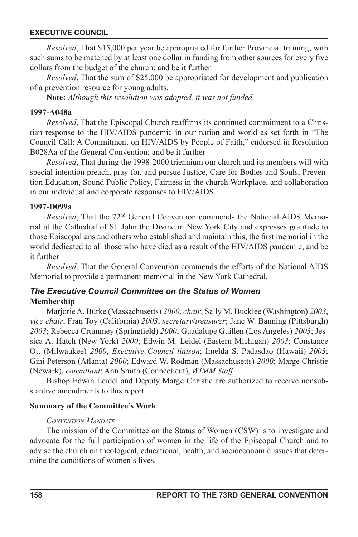*Resolved*, That \$15,000 per year be appropriated for further Provincial training, with such sums to be matched by at least one dollar in funding from other sources for every five dollars from the budget of the church; and be it further

*Resolved*, That the sum of \$25,000 be appropriated for development and publication of a prevention resource for young adults.

**Note:** *Although this resolution was adopted, it was not funded.*

#### **1997-A048a**

*Resolved*, That the Episcopal Church reaffirms its continued commitment to a Christian response to the HIV/AIDS pandemic in our nation and world as set forth in "The Council Call: A Commitment on HIV/AIDS by People of Faith," endorsed in Resolution B028Aa of the General Convention; and be it further

*Resolved*, That during the 1998-2000 triennium our church and its members will with special intention preach, pray for, and pursue Justice, Care for Bodies and Souls, Prevention Education, Sound Public Policy, Fairness in the church Workplace, and collaboration in our individual and corporate responses to HIV/AIDS.

#### **1997-D099a**

*Resolved*, That the 72<sup>nd</sup> General Convention commends the National AIDS Memorial at the Cathedral of St. John the Divine in New York City and expresses gratitude to those Episcopalians and others who established and maintain this, the first memorial in the world dedicated to all those who have died as a result of the HIV/AIDS pandemic, and be it further

*Resolved*, That the General Convention commends the efforts of the National AIDS Memorial to provide a permanent memorial in the New York Cathedral.

# *The Executive Council Committee on the Status of Women* **Membership**

Marjorie A. Burke (Massachusetts) *2000*, *chair*; Sally M. Bucklee (Washington) *2003*, *vice chair*; Fran Toy (California) *2003*, *secretary*/*treasurer*; Jane W. Banning (Pittsburgh) 2003; Rebecca Crummey (Springfield) *2000*; Guadalupe Guillen (Los Angeles) *2003*; Jessica A. Hatch (New York) *2000*; Edwin M. Leidel (Eastern Michigan) *2003*; Constance Ott (Milwaukee) *2000*, *Executive Council liaison*; Imelda S. Padasdao (Hawaii) *2003*; Gini Peterson (Atlanta) *2000*; Edward W. Rodman (Massachusetts) *2000*; Marge Christie (Newark), *consultant*; Ann Smith (Connecticut), *WIMM Staff*

Bishop Edwin Leidel and Deputy Marge Christie are authorized to receive nonsubstantive amendments to this report.

#### **Summary of the Committee's Work**

#### *CONVENTION MANDATE*

The mission of the Committee on the Status of Women (CSW) is to investigate and advocate for the full participation of women in the life of the Episcopal Church and to advise the church on theological, educational, health, and socioeconomic issues that determine the conditions of women's lives.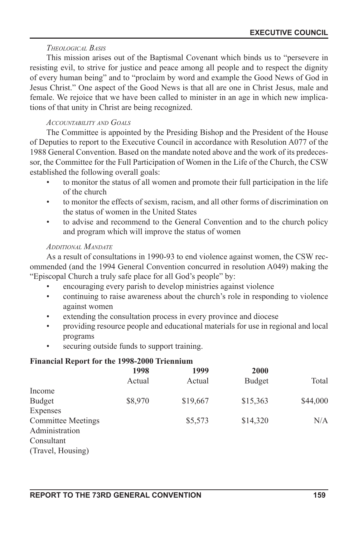#### *THEOLOGICAL BASIS*

This mission arises out of the Baptismal Covenant which binds us to "persevere in resisting evil, to strive for justice and peace among all people and to respect the dignity of every human being" and to "proclaim by word and example the Good News of God in Jesus Christ." One aspect of the Good News is that all are one in Christ Jesus, male and female. We rejoice that we have been called to minister in an age in which new implications of that unity in Christ are being recognized.

## *ACCOUNTABILITY AND GOALS*

The Committee is appointed by the Presiding Bishop and the President of the House of Deputies to report to the Executive Council in accordance with Resolution A077 of the 1988 General Convention. Based on the mandate noted above and the work of its predecessor, the Committee for the Full Participation of Women in the Life of the Church, the CSW established the following overall goals:

- to monitor the status of all women and promote their full participation in the life of the church
- to monitor the effects of sexism, racism, and all other forms of discrimination on the status of women in the United States
- to advise and recommend to the General Convention and to the church policy and program which will improve the status of women

## *ADDITIONAL MANDATE*

As a result of consultations in 1990-93 to end violence against women, the CSW recommended (and the 1994 General Convention concurred in resolution A049) making the "Episcopal Church a truly safe place for all God's people" by:

- encouraging every parish to develop ministries against violence
- continuing to raise awareness about the church's role in responding to violence against women
- extending the consultation process in every province and diocese
- providing resource people and educational materials for use in regional and local programs
- securing outside funds to support training.

# **Financial Report for the 1998-2000 Triennium**

|                           | 1998    | 1999     | 2000          |          |
|---------------------------|---------|----------|---------------|----------|
|                           | Actual  | Actual   | <b>Budget</b> | Total    |
| Income                    |         |          |               |          |
| <b>Budget</b>             | \$8,970 | \$19,667 | \$15,363      | \$44,000 |
| Expenses                  |         |          |               |          |
| <b>Committee Meetings</b> |         | \$5,573  | \$14,320      | N/A      |
| Administration            |         |          |               |          |
| Consultant                |         |          |               |          |
| (Travel, Housing)         |         |          |               |          |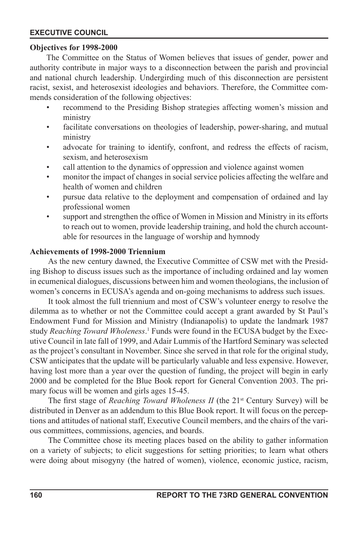#### **Objectives for 1998-2000**

The Committee on the Status of Women believes that issues of gender, power and authority contribute in major ways to a disconnection between the parish and provincial and national church leadership. Undergirding much of this disconnection are persistent racist, sexist, and heterosexist ideologies and behaviors. Therefore, the Committee commends consideration of the following objectives:

- recommend to the Presiding Bishop strategies affecting women's mission and ministry
- facilitate conversations on theologies of leadership, power-sharing, and mutual ministry
- advocate for training to identify, confront, and redress the effects of racism, sexism, and heterosexism
- call attention to the dynamics of oppression and violence against women
- monitor the impact of changes in social service policies affecting the welfare and health of women and children
- pursue data relative to the deployment and compensation of ordained and lay professional women
- support and strengthen the office of Women in Mission and Ministry in its efforts to reach out to women, provide leadership training, and hold the church accountable for resources in the language of worship and hymnody

#### **Achievements of 1998-2000 Triennium**

As the new century dawned, the Executive Committee of CSW met with the Presiding Bishop to discuss issues such as the importance of including ordained and lay women in ecumenical dialogues, discussions between him and women theologians, the inclusion of women's concerns in ECUSA's agenda and on-going mechanisms to address such issues.

It took almost the full triennium and most of CSW's volunteer energy to resolve the dilemma as to whether or not the Committee could accept a grant awarded by St Paul's Endowment Fund for Mission and Ministry (Indianapolis) to update the landmark 1987 study *Reaching Toward Wholeness*. 1 Funds were found in the ECUSA budget by the Executive Council in late fall of 1999, and Adair Lummis of the Hartford Seminary was selected as the project's consultant in November. Since she served in that role for the original study, CSW anticipates that the update will be particularly valuable and less expensive. However, having lost more than a year over the question of funding, the project will begin in early 2000 and be completed for the Blue Book report for General Convention 2003. The primary focus will be women and girls ages 15-45.

The first stage of *Reaching Toward Wholeness II* (the 21<sup>st</sup> Century Survey) will be distributed in Denver as an addendum to this Blue Book report. It will focus on the perceptions and attitudes of national staff, Executive Council members, and the chairs of the various committees, commissions, agencies, and boards.

The Committee chose its meeting places based on the ability to gather information on a variety of subjects; to elicit suggestions for setting priorities; to learn what others were doing about misogyny (the hatred of women), violence, economic justice, racism,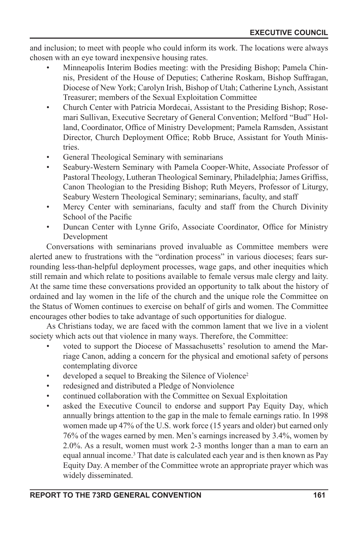and inclusion; to meet with people who could inform its work. The locations were always chosen with an eye toward inexpensive housing rates.

- Minneapolis Interim Bodies meeting: with the Presiding Bishop; Pamela Chinnis, President of the House of Deputies; Catherine Roskam, Bishop Suffragan, Diocese of New York; Carolyn Irish, Bishop of Utah; Catherine Lynch, Assistant Treasurer; members of the Sexual Exploitation Committee
- Church Center with Patricia Mordecai, Assistant to the Presiding Bishop; Rosemari Sullivan, Executive Secretary of General Convention; Melford "Bud" Holland, Coordinator, Office of Ministry Development; Pamela Ramsden, Assistant Director, Church Deployment Office; Robb Bruce, Assistant for Youth Ministries.
- General Theological Seminary with seminarians
- Seabury-Western Seminary with Pamela Cooper-White, Associate Professor of Pastoral Theology, Lutheran Theological Seminary, Philadelphia; James Griffiss, Canon Theologian to the Presiding Bishop; Ruth Meyers, Professor of Liturgy, Seabury Western Theological Seminary; seminarians, faculty, and staff
- Mercy Center with seminarians, faculty and staff from the Church Divinity School of the Pacific
- Duncan Center with Lynne Grifo, Associate Coordinator, Office for Ministry Development

Conversations with seminarians proved invaluable as Committee members were alerted anew to frustrations with the "ordination process" in various dioceses; fears surrounding less-than-helpful deployment processes, wage gaps, and other inequities which still remain and which relate to positions available to female versus male clergy and laity. At the same time these conversations provided an opportunity to talk about the history of ordained and lay women in the life of the church and the unique role the Committee on the Status of Women continues to exercise on behalf of girls and women. The Committee encourages other bodies to take advantage of such opportunities for dialogue.

As Christians today, we are faced with the common lament that we live in a violent society which acts out that violence in many ways. Therefore, the Committee:

- voted to support the Diocese of Massachusetts' resolution to amend the Marriage Canon, adding a concern for the physical and emotional safety of persons contemplating divorce
- developed a sequel to Breaking the Silence of Violence<sup>2</sup>
- redesigned and distributed a Pledge of Nonviolence
- continued collaboration with the Committee on Sexual Exploitation
- asked the Executive Council to endorse and support Pay Equity Day, which annually brings attention to the gap in the male to female earnings ratio. In 1998 women made up 47% of the U.S. work force (15 years and older) but earned only 76% of the wages earned by men. Men's earnings increased by 3.4%, women by 2.0%. As a result, women must work 2-3 months longer than a man to earn an equal annual income.<sup>3</sup> That date is calculated each year and is then known as Pay Equity Day. A member of the Committee wrote an appropriate prayer which was widely disseminated.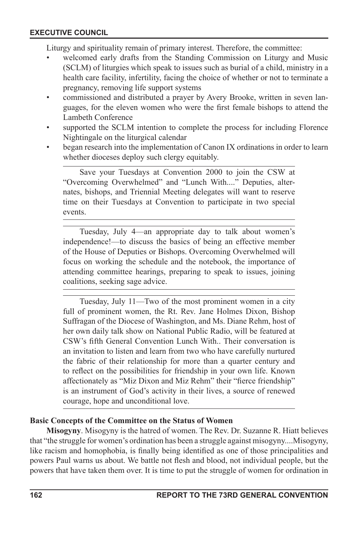Liturgy and spirituality remain of primary interest. Therefore, the committee:

- welcomed early drafts from the Standing Commission on Liturgy and Music (SCLM) of liturgies which speak to issues such as burial of a child, ministry in a health care facility, infertility, facing the choice of whether or not to terminate a pregnancy, removing life support systems
- commissioned and distributed a prayer by Avery Brooke, written in seven languages, for the eleven women who were the first female bishops to attend the Lambeth Conference
- supported the SCLM intention to complete the process for including Florence Nightingale on the liturgical calendar
- began research into the implementation of Canon IX ordinations in order to learn whether dioceses deploy such clergy equitably.

Save your Tuesdays at Convention 2000 to join the CSW at "Overcoming Overwhelmed" and "Lunch With...." Deputies, alternates, bishops, and Triennial Meeting delegates will want to reserve time on their Tuesdays at Convention to participate in two special events.

Tuesday, July 4—an appropriate day to talk about women's independence!—to discuss the basics of being an effective member of the House of Deputies or Bishops. Overcoming Overwhelmed will focus on working the schedule and the notebook, the importance of attending committee hearings, preparing to speak to issues, joining coalitions, seeking sage advice.

Tuesday, July 11—Two of the most prominent women in a city full of prominent women, the Rt. Rev. Jane Holmes Dixon, Bishop Suffragan of the Diocese of Washington, and Ms. Diane Rehm, host of her own daily talk show on National Public Radio, will be featured at CSW's fth General Convention Lunch With.. Their conversation is an invitation to listen and learn from two who have carefully nurtured the fabric of their relationship for more than a quarter century and to reflect on the possibilities for friendship in your own life. Known affectionately as "Miz Dixon and Miz Rehm" their "fierce friendship" is an instrument of God's activity in their lives, a source of renewed courage, hope and unconditional love.

#### **Basic Concepts of the Committee on the Status of Women**

**Misogyny**. Misogyny is the hatred of women. The Rev. Dr. Suzanne R. Hiatt believes that "the struggle for women's ordination has been a struggle against misogyny....Misogyny, like racism and homophobia, is finally being identified as one of those principalities and powers Paul warns us about. We battle not flesh and blood, not individual people, but the powers that have taken them over. It is time to put the struggle of women for ordination in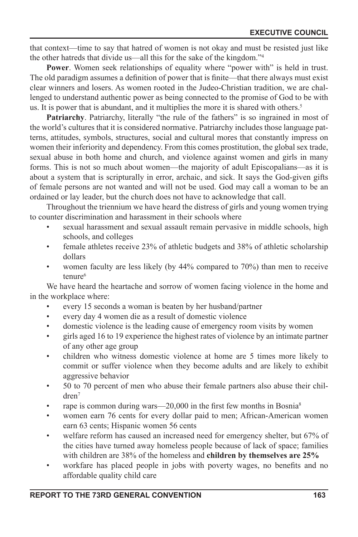that context—time to say that hatred of women is not okay and must be resisted just like the other hatreds that divide us—all this for the sake of the kingdom."4

**Power**. Women seek relationships of equality where "power with" is held in trust. The old paradigm assumes a definition of power that is finite—that there always must exist clear winners and losers. As women rooted in the Judeo-Christian tradition, we are challenged to understand authentic power as being connected to the promise of God to be with us. It is power that is abundant, and it multiplies the more it is shared with others.<sup>5</sup>

Patriarchy. Patriarchy, literally "the rule of the fathers" is so ingrained in most of the world's cultures that it is considered normative. Patriarchy includes those language patterns, attitudes, symbols, structures, social and cultural mores that constantly impress on women their inferiority and dependency. From this comes prostitution, the global sex trade, sexual abuse in both home and church, and violence against women and girls in many forms. This is not so much about women—the majority of adult Episcopalians—as it is about a system that is scripturally in error, archaic, and sick. It says the God-given gifts of female persons are not wanted and will not be used. God may call a woman to be an ordained or lay leader, but the church does not have to acknowledge that call.

Throughout the triennium we have heard the distress of girls and young women trying to counter discrimination and harassment in their schools where

- sexual harassment and sexual assault remain pervasive in middle schools, high schools, and colleges
- female athletes receive 23% of athletic budgets and 38% of athletic scholarship dollars
- women faculty are less likely (by 44% compared to 70%) than men to receive tenure<sup>6</sup>

We have heard the heartache and sorrow of women facing violence in the home and in the workplace where:

- every 15 seconds a woman is beaten by her husband/partner
- every day 4 women die as a result of domestic violence
- domestic violence is the leading cause of emergency room visits by women
- girls aged 16 to 19 experience the highest rates of violence by an intimate partner of any other age group
- children who witness domestic violence at home are 5 times more likely to commit or suffer violence when they become adults and are likely to exhibit aggressive behavior
- 50 to 70 percent of men who abuse their female partners also abuse their children7
- rape is common during wars— $20,000$  in the first few months in Bosnia<sup>8</sup>
- women earn 76 cents for every dollar paid to men; African-American women earn 63 cents; Hispanic women 56 cents
- welfare reform has caused an increased need for emergency shelter, but 67% of the cities have turned away homeless people because of lack of space; families with children are 38% of the homeless and **children by themselves are 25%**
- workfare has placed people in jobs with poverty wages, no benefits and no affordable quality child care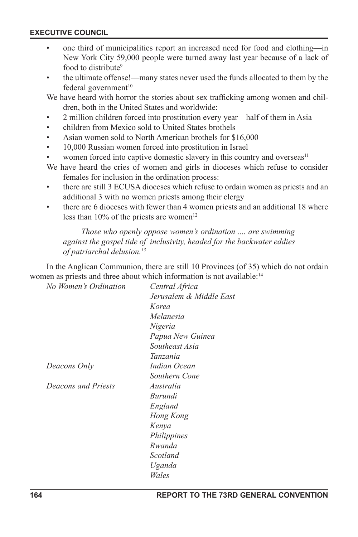- one third of municipalities report an increased need for food and clothing—in New York City 59,000 people were turned away last year because of a lack of food to distribute<sup>9</sup>
- the ultimate offense!—many states never used the funds allocated to them by the federal government<sup>10</sup>

We have heard with horror the stories about sex trafficking among women and children, both in the United States and worldwide:

- 2 million children forced into prostitution every year—half of them in Asia
- children from Mexico sold to United States brothels
- Asian women sold to North American brothels for \$16,000
- 10,000 Russian women forced into prostitution in Israel
- women forced into captive domestic slavery in this country and overseas<sup>11</sup>
- We have heard the cries of women and girls in dioceses which refuse to consider females for inclusion in the ordination process:
- there are still 3 ECUSA dioceses which refuse to ordain women as priests and an additional 3 with no women priests among their clergy
- there are 6 dioceses with fewer than 4 women priests and an additional 18 where less than  $10\%$  of the priests are women<sup>12</sup>

#### *Those who openly oppose women's ordination .... are swimming against the gospel tide of inclusivity, headed for the backwater eddies of patriarchal delusion.13*

In the Anglican Communion, there are still 10 Provinces (of 35) which do not ordain women as priests and three about which information is not available:<sup>14</sup>

| No Women's Ordination | Central Africa          |
|-----------------------|-------------------------|
|                       | Jerusalem & Middle East |
|                       | Korea                   |
|                       | Melanesia               |
|                       | Nigeria                 |
|                       | Papua New Guinea        |
|                       | Southeast Asia          |
|                       | Tanzania                |
| Deacons Only          | Indian Ocean            |
|                       | Southern Cone           |
| Deacons and Priests   | Australia               |
|                       | Burundi                 |
|                       | England                 |
|                       | Hong Kong               |
|                       | Kenya                   |
|                       | Philippines             |
|                       | Rwanda                  |
|                       | Scotland                |
|                       | Uganda                  |
|                       | Wales                   |
|                       |                         |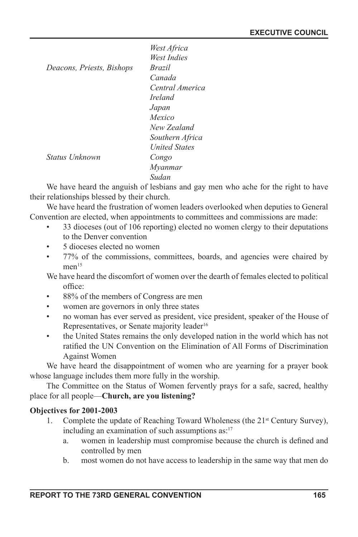|                           | West Africa          |
|---------------------------|----------------------|
|                           | West Indies          |
| Deacons, Priests, Bishops | <i>Brazil</i>        |
|                           | Canada               |
|                           | Central America      |
|                           | <i>Ireland</i>       |
|                           | Japan                |
|                           | Mexico               |
|                           | New Zealand          |
|                           | Southern Africa      |
|                           | <b>United States</b> |
| Status Unknown            | Congo                |
|                           | Mvanmar              |
|                           | Sudan                |

We have heard the anguish of lesbians and gay men who ache for the right to have their relationships blessed by their church.

We have heard the frustration of women leaders overlooked when deputies to General Convention are elected, when appointments to committees and commissions are made:

- 33 dioceses (out of 106 reporting) elected no women clergy to their deputations to the Denver convention
- 5 dioceses elected no women
- 77% of the commissions, committees, boards, and agencies were chaired by men<sup>15</sup>

We have heard the discomfort of women over the dearth of females elected to political office:

- 88% of the members of Congress are men
- women are governors in only three states
- no woman has ever served as president, vice president, speaker of the House of Representatives, or Senate majority leader<sup>16</sup>
- the United States remains the only developed nation in the world which has not ratified the UN Convention on the Elimination of All Forms of Discrimination Against Women

We have heard the disappointment of women who are yearning for a prayer book whose language includes them more fully in the worship.

The Committee on the Status of Women fervently prays for a safe, sacred, healthy place for all people—**Church, are you listening?**

# **Objectives for 2001-2003**

- 1. Complete the update of Reaching Toward Wholeness (the  $21<sup>st</sup>$  Century Survey), including an examination of such assumptions as:<sup>17</sup>
	- a. women in leadership must compromise because the church is defined and controlled by men
	- b. most women do not have access to leadership in the same way that men do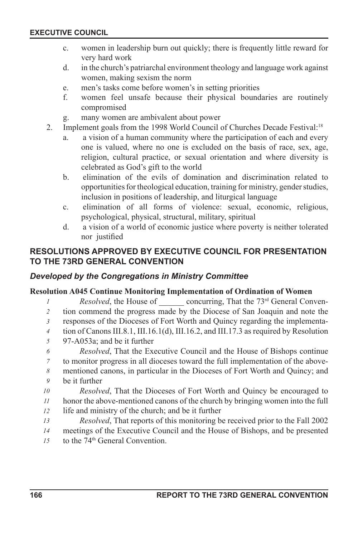- c. women in leadership burn out quickly; there is frequently little reward for very hard work
- d. in the church's patriarchal environment theology and language work against women, making sexism the norm
- e. men's tasks come before women's in setting priorities
- f. women feel unsafe because their physical boundaries are routinely compromised
- g. many women are ambivalent about power
- 2. Implement goals from the 1998 World Council of Churches Decade Festival:<sup>18</sup>
	- a. a vision of a human community where the participation of each and every one is valued, where no one is excluded on the basis of race, sex, age, religion, cultural practice, or sexual orientation and where diversity is celebrated as God's gift to the world
	- b. elimination of the evils of domination and discrimination related to opportunities for theological education, training for ministry, gender studies, inclusion in positions of leadership, and liturgical language
	- c. elimination of all forms of violence: sexual, economic, religious, psychological, physical, structural, military, spiritual
	- d. a vision of a world of economic justice where poverty is neither tolerated nor justified

# **RESOLUTIONS APPROVED BY EXECUTIVE COUNCIL FOR PRESENTATION TO THE 73RD GENERAL CONVENTION**

# *Developed by the Congregations in Ministry Committee*

#### **Resolution A045 Continue Monitoring Implementation of Ordination of Women**

- *Resolved*, the House of concurring, That the 73<sup>rd</sup> General Conven-*1*
- tion commend the progress made by the Diocese of San Joaquin and note the *2*
- responses of the Dioceses of Fort Worth and Quincy regarding the implementa-*3*
- tion of Canons III.8.1, III.16.1(d), III.16.2, and III.17.3 as required by Resolution *4*
- 97-A053a; and be it further *5*
- *Resolved*, That the Executive Council and the House of Bishops continue *6*
- to monitor progress in all dioceses toward the full implementation of the above-*7*
- mentioned canons, in particular in the Dioceses of Fort Worth and Quincy; and *8*
- be it further *9*
- *Resolved*, That the Dioceses of Fort Worth and Quincy be encouraged to *10*
- honor the above-mentioned canons of the church by bringing women into the full life and ministry of the church; and be it further *11 12*
- *Resolved*, That reports of this monitoring be received prior to the Fall 2002 *13*
- meetings of the Executive Council and the House of Bishops, and be presented *14*
- to the 74<sup>th</sup> General Convention. *15*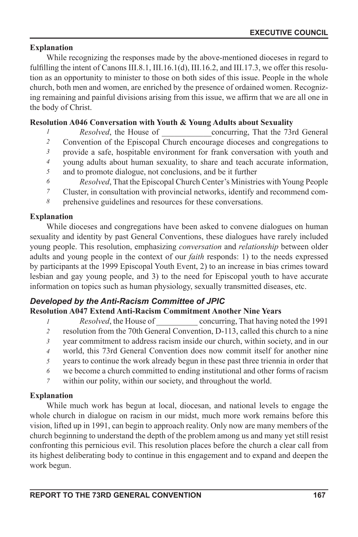# **Explanation**

While recognizing the responses made by the above-mentioned dioceses in regard to fulfilling the intent of Canons III.8.1, III.16.1(d), III.16.2, and III.17.3, we offer this resolution as an opportunity to minister to those on both sides of this issue. People in the whole church, both men and women, are enriched by the presence of ordained women. Recognizing remaining and painful divisions arising from this issue, we affirm that we are all one in the body of Christ.

# **Resolution A046 Conversation with Youth & Young Adults about Sexuality**

- *Resolved*, the House of concurring, That the 73rd General *1*
- Convention of the Episcopal Church encourage dioceses and congregations to *2*
- provide a safe, hospitable environment for frank conversation with youth and *3*
- young adults about human sexuality, to share and teach accurate information, *4*
- and to promote dialogue, not conclusions, and be it further *5*
- *Resolved*, That the Episcopal Church Center's Ministries with Young People *6*
- Cluster, in consultation with provincial networks, identify and recommend com-*7*
- prehensive guidelines and resources for these conversations. *8*

# **Explanation**

While dioceses and congregations have been asked to convene dialogues on human sexuality and identity by past General Conventions, these dialogues have rarely included young people. This resolution, emphasizing *conversation* and *relationship* between older adults and young people in the context of our *faith* responds: 1) to the needs expressed by participants at the 1999 Episcopal Youth Event, 2) to an increase in bias crimes toward lesbian and gay young people, and 3) to the need for Episcopal youth to have accurate information on topics such as human physiology, sexually transmitted diseases, etc.

# *Developed by the Anti-Racism Committee of JPIC*

# **Resolution A047 Extend Anti-Racism Commitment Another Nine Years**

- *Resolved*, the House of concurring, That having noted the 1991 *1*
- resolution from the 70th General Convention, D-113, called this church to a nine *2*
- year commitment to address racism inside our church, within society, and in our *3*
- world, this 73rd General Convention does now commit itself for another nine *4*
- years to continue the work already begun in these past three triennia in order that *5*
- we become a church committed to ending institutional and other forms of racism *6*
- within our polity, within our society, and throughout the world. *7*

# **Explanation**

While much work has begun at local, diocesan, and national levels to engage the whole church in dialogue on racism in our midst, much more work remains before this vision, lifted up in 1991, can begin to approach reality. Only now are many members of the church beginning to understand the depth of the problem among us and many yet still resist confronting this pernicious evil. This resolution places before the church a clear call from its highest deliberating body to continue in this engagement and to expand and deepen the work begun.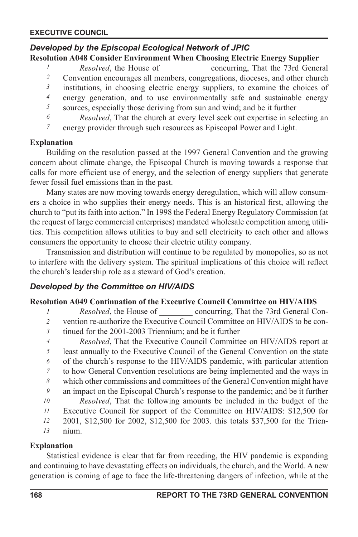# *Developed by the Episcopal Ecological Network of JPIC*

# **Resolution A048 Consider Environment When Choosing Electric Energy Supplier**

*Resolved*, the House of \_\_\_\_\_\_\_\_\_\_\_ concurring, That the 73rd General *1 2*

- Convention encourages all members, congregations, dioceses, and other church institutions, in choosing electric energy suppliers, to examine the choices of *3*
- energy generation, and to use environmentally safe and sustainable energy *4*
- *5*
- sources, especially those deriving from sun and wind; and be it further *6*
- *Resolved*, That the church at every level seek out expertise in selecting an energy provider through such resources as Episcopal Power and Light. *7*

#### **Explanation**

Building on the resolution passed at the 1997 General Convention and the growing concern about climate change, the Episcopal Church is moving towards a response that calls for more efficient use of energy, and the selection of energy suppliers that generate fewer fossil fuel emissions than in the past.

Many states are now moving towards energy deregulation, which will allow consumers a choice in who supplies their energy needs. This is an historical first, allowing the church to "put its faith into action." In 1998 the Federal Energy Regulatory Commission (at the request of large commercial enterprises) mandated wholesale competition among utilities. This competition allows utilities to buy and sell electricity to each other and allows consumers the opportunity to choose their electric utility company.

Transmission and distribution will continue to be regulated by monopolies, so as not to interfere with the delivery system. The spiritual implications of this choice will reflect the church's leadership role as a steward of God's creation.

# *Developed by the Committee on HIV/AIDS*

#### **Resolution A049 Continuation of the Executive Council Committee on HIV/AIDS**

- *Resolved*, the House of \_\_\_\_\_\_\_\_ concurring, That the 73rd General Con-*1*
- vention re-authorize the Executive Council Committee on HIV/AIDS to be con-*2*
- tinued for the 2001-2003 Triennium; and be it further *3*
- *Resolved*, That the Executive Council Committee on HIV/AIDS report at *4*
- least annually to the Executive Council of the General Convention on the state *5*
- of the church's response to the HIV/AIDS pandemic, with particular attention *6*
- to how General Convention resolutions are being implemented and the ways in *7*
- which other commissions and committees of the General Convention might have *8*
- an impact on the Episcopal Church's response to the pandemic; and be it further *9*
- *Resolved*, That the following amounts be included in the budget of the Executive Council for support of the Committee on HIV/AIDS: \$12,500 for *10 11*
- 2001, \$12,500 for 2002, \$12,500 for 2003. this totals \$37,500 for the Trien-*12*
- nium. *13*

# **Explanation**

Statistical evidence is clear that far from receding, the HIV pandemic is expanding and continuing to have devastating effects on individuals, the church, and the World. A new generation is coming of age to face the life-threatening dangers of infection, while at the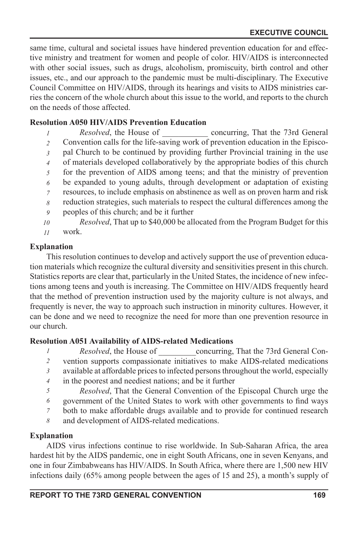same time, cultural and societal issues have hindered prevention education for and effective ministry and treatment for women and people of color. HIV/AIDS is interconnected with other social issues, such as drugs, alcoholism, promiscuity, birth control and other issues, etc., and our approach to the pandemic must be multi-disciplinary. The Executive Council Committee on HIV/AIDS, through its hearings and visits to AIDS ministries carries the concern of the whole church about this issue to the world, and reports to the church on the needs of those affected.

## **Resolution A050 HIV/AIDS Prevention Education**

- *Resolved*, the House of concurring, That the 73rd General Convention calls for the life-saving work of prevention education in the Episcopal Church to be continued by providing further Provincial training in the use of materials developed collaboratively by the appropriate bodies of this church for the prevention of AIDS among teens; and that the ministry of prevention be expanded to young adults, through development or adaptation of existing resources, to include emphasis on abstinence as well as on proven harm and risk reduction strategies, such materials to respect the cultural differences among the peoples of this church; and be it further *Resolved*, That up to \$40,000 be allocated from the Program Budget for this *1 2 3 4 5 6 7 8 9 10*
- work. *11*

## **Explanation**

This resolution continues to develop and actively support the use of prevention education materials which recognize the cultural diversity and sensitivities present in this church. Statistics reports are clear that, particularly in the United States, the incidence of new infections among teens and youth is increasing. The Committee on HIV/AIDS frequently heard that the method of prevention instruction used by the majority culture is not always, and frequently is never, the way to approach such instruction in minority cultures. However, it can be done and we need to recognize the need for more than one prevention resource in our church.

#### **Resolution A051 Availability of AIDS-related Medications**

- *Resolved*, the House of concurring, That the 73rd General Con-*1*
- vention supports compassionate initiatives to make AIDS-related medications *2*
- available at affordable prices to infected persons throughout the world, especially *3*
- in the poorest and neediest nations; and be it further *4*
- *Resolved*, That the General Convention of the Episcopal Church urge the *5*
- government of the United States to work with other governments to find ways *6*
- both to make affordable drugs available and to provide for continued research *7*
- and development of AIDS-related medications. *8*

# **Explanation**

AIDS virus infections continue to rise worldwide. In Sub-Saharan Africa, the area hardest hit by the AIDS pandemic, one in eight South Africans, one in seven Kenyans, and one in four Zimbabweans has HIV/AIDS. In South Africa, where there are 1,500 new HIV infections daily (65% among people between the ages of 15 and 25), a month's supply of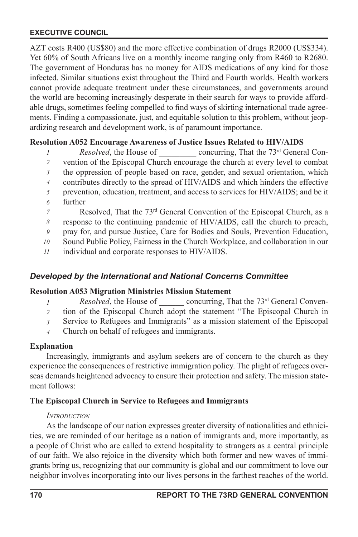AZT costs R400 (US\$80) and the more effective combination of drugs R2000 (US\$334). Yet 60% of South Africans live on a monthly income ranging only from R460 to R2680. The government of Honduras has no money for AIDS medications of any kind for those infected. Similar situations exist throughout the Third and Fourth worlds. Health workers cannot provide adequate treatment under these circumstances, and governments around the world are becoming increasingly desperate in their search for ways to provide affordable drugs, sometimes feeling compelled to find ways of skirting international trade agreements. Finding a compassionate, just, and equitable solution to this problem, without jeopardizing research and development work, is of paramount importance.

## **Resolution A052 Encourage Awareness of Justice Issues Related to HIV/AIDS**

- *Resolved*, the House of \_\_\_\_\_\_\_\_\_\_\_ concurring, That the 73<sup>rd</sup> General Con-*1*
- vention of the Episcopal Church encourage the church at every level to combat *2*
- the oppression of people based on race, gender, and sexual orientation, which *3*
- contributes directly to the spread of HIV/AIDS and which hinders the effective *4*
- prevention, education, treatment, and access to services for HIV/AIDS; and be it *5*
- further *6*
- Resolved, That the 73<sup>rd</sup> General Convention of the Episcopal Church, as a *7*
- response to the continuing pandemic of HIV/AIDS, call the church to preach, *8*
- pray for, and pursue Justice, Care for Bodies and Souls, Prevention Education, *9*
- Sound Public Policy, Fairness in the Church Workplace, and collaboration in our *10*
- individual and corporate responses to HIV/AIDS. *11*

# *Developed by the International and National Concerns Committee*

#### **Resolution A053 Migration Ministries Mission Statement**

- *Resolved*, the House of concurring, That the 73<sup>rd</sup> General Conven-*1*
- tion of the Episcopal Church adopt the statement "The Episcopal Church in *2*
- Service to Refugees and Immigrants" as a mission statement of the Episcopal *3*
- Church on behalf of refugees and immigrants. *4*

#### **Explanation**

Increasingly, immigrants and asylum seekers are of concern to the church as they experience the consequences of restrictive immigration policy. The plight of refugees overseas demands heightened advocacy to ensure their protection and safety. The mission statement follows:

#### **The Episcopal Church in Service to Refugees and Immigrants**

#### *INTRODUCTION*

As the landscape of our nation expresses greater diversity of nationalities and ethnicities, we are reminded of our heritage as a nation of immigrants and, more importantly, as a people of Christ who are called to extend hospitality to strangers as a central principle of our faith. We also rejoice in the diversity which both former and new waves of immigrants bring us, recognizing that our community is global and our commitment to love our neighbor involves incorporating into our lives persons in the farthest reaches of the world.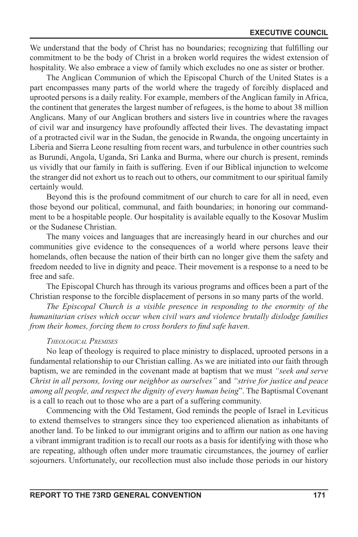We understand that the body of Christ has no boundaries; recognizing that fullling our commitment to be the body of Christ in a broken world requires the widest extension of hospitality. We also embrace a view of family which excludes no one as sister or brother.

The Anglican Communion of which the Episcopal Church of the United States is a part encompasses many parts of the world where the tragedy of forcibly displaced and uprooted persons is a daily reality. For example, members of the Anglican family in Africa, the continent that generates the largest number of refugees, is the home to about 38 million Anglicans. Many of our Anglican brothers and sisters live in countries where the ravages of civil war and insurgency have profoundly affected their lives. The devastating impact of a protracted civil war in the Sudan, the genocide in Rwanda, the ongoing uncertainty in Liberia and Sierra Leone resulting from recent wars, and turbulence in other countries such as Burundi, Angola, Uganda, Sri Lanka and Burma, where our church is present, reminds us vividly that our family in faith is suffering. Even if our Biblical injunction to welcome the stranger did not exhort us to reach out to others, our commitment to our spiritual family certainly would.

Beyond this is the profound commitment of our church to care for all in need, even those beyond our political, communal, and faith boundaries; in honoring our commandment to be a hospitable people. Our hospitality is available equally to the Kosovar Muslim or the Sudanese Christian.

The many voices and languages that are increasingly heard in our churches and our communities give evidence to the consequences of a world where persons leave their homelands, often because the nation of their birth can no longer give them the safety and freedom needed to live in dignity and peace. Their movement is a response to a need to be free and safe.

The Episcopal Church has through its various programs and offices been a part of the Christian response to the forcible displacement of persons in so many parts of the world.

*The Episcopal Church is a visible presence in responding to the enormity of the humanitarian crises which occur when civil wars and violence brutally dislodge families from their homes, forcing them to cross borders to find safe haven.* 

#### *THEOLOGICAL PREMISES*

No leap of theology is required to place ministry to displaced, uprooted persons in a fundamental relationship to our Christian calling. As we are initiated into our faith through baptism, we are reminded in the covenant made at baptism that we must *"seek and serve Christ in all persons, loving our neighbor as ourselves"* and *"strive for justice and peace among all people, and respect the dignity of every human being*". The Baptismal Covenant is a call to reach out to those who are a part of a suffering community.

Commencing with the Old Testament, God reminds the people of Israel in Leviticus to extend themselves to strangers since they too experienced alienation as inhabitants of another land. To be linked to our immigrant origins and to affirm our nation as one having a vibrant immigrant tradition is to recall our roots as a basis for identifying with those who are repeating, although often under more traumatic circumstances, the journey of earlier sojourners. Unfortunately, our recollection must also include those periods in our history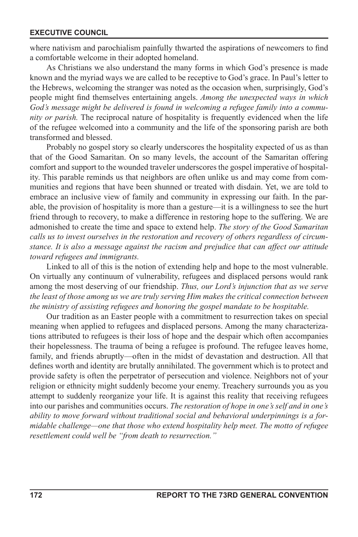where nativism and parochialism painfully thwarted the aspirations of newcomers to find a comfortable welcome in their adopted homeland.

As Christians we also understand the many forms in which God's presence is made known and the myriad ways we are called to be receptive to God's grace. In Paul's letter to the Hebrews, welcoming the stranger was noted as the occasion when, surprisingly, God's people might find themselves entertaining angels. Among the unexpected ways in which *God's message might be delivered is found in welcoming a refugee family into a community or parish.* The reciprocal nature of hospitality is frequently evidenced when the life of the refugee welcomed into a community and the life of the sponsoring parish are both transformed and blessed.

Probably no gospel story so clearly underscores the hospitality expected of us as than that of the Good Samaritan. On so many levels, the account of the Samaritan offering comfort and support to the wounded traveler underscores the gospel imperative of hospitality. This parable reminds us that neighbors are often unlike us and may come from communities and regions that have been shunned or treated with disdain. Yet, we are told to embrace an inclusive view of family and community in expressing our faith. In the parable, the provision of hospitality is more than a gesture—it is a willingness to see the hurt friend through to recovery, to make a difference in restoring hope to the suffering. We are admonished to create the time and space to extend help. *The story of the Good Samaritan calls us to invest ourselves in the restoration and recovery of others regardless of circumstance. It is also a message against the racism and prejudice that can affect our attitude toward refugees and immigrants.*

Linked to all of this is the notion of extending help and hope to the most vulnerable. On virtually any continuum of vulnerability, refugees and displaced persons would rank among the most deserving of our friendship. *Thus, our Lord's injunction that as we serve the least of those among us we are truly serving Him makes the critical connection between the ministry of assisting refugees and honoring the gospel mandate to be hospitable.* 

Our tradition as an Easter people with a commitment to resurrection takes on special meaning when applied to refugees and displaced persons. Among the many characterizations attributed to refugees is their loss of hope and the despair which often accompanies their hopelessness. The trauma of being a refugee is profound. The refugee leaves home, family, and friends abruptly—often in the midst of devastation and destruction. All that defines worth and identity are brutally annihilated. The government which is to protect and provide safety is often the perpetrator of persecution and violence. Neighbors not of your religion or ethnicity might suddenly become your enemy. Treachery surrounds you as you attempt to suddenly reorganize your life. It is against this reality that receiving refugees into our parishes and communities occurs. *The restoration of hope in one's self and in one's ability to move forward without traditional social and behavioral underpinnings is a formidable challenge—one that those who extend hospitality help meet. The motto of refugee resettlement could well be "from death to resurrection."*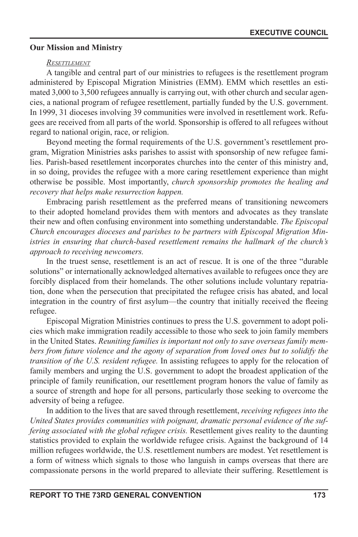#### **Our Mission and Ministry**

#### *RESETTLEMENT*

A tangible and central part of our ministries to refugees is the resettlement program administered by Episcopal Migration Ministries (EMM). EMM which resettles an estimated 3,000 to 3,500 refugees annually is carrying out, with other church and secular agencies, a national program of refugee resettlement, partially funded by the U.S. government. In 1999, 31 dioceses involving 39 communities were involved in resettlement work. Refugees are received from all parts of the world. Sponsorship is offered to all refugees without regard to national origin, race, or religion.

Beyond meeting the formal requirements of the U.S. government's resettlement program, Migration Ministries asks parishes to assist with sponsorship of new refugee families. Parish-based resettlement incorporates churches into the center of this ministry and, in so doing, provides the refugee with a more caring resettlement experience than might otherwise be possible. Most importantly, *church sponsorship promotes the healing and recovery that helps make resurrection happen.* 

Embracing parish resettlement as the preferred means of transitioning newcomers to their adopted homeland provides them with mentors and advocates as they translate their new and often confusing environment into something understandable. *The Episcopal Church encourages dioceses and parishes to be partners with Episcopal Migration Ministries in ensuring that church-based resettlement remains the hallmark of the church's approach to receiving newcomers.* 

In the truest sense, resettlement is an act of rescue. It is one of the three "durable solutions" or internationally acknowledged alternatives available to refugees once they are forcibly displaced from their homelands. The other solutions include voluntary repatriation, done when the persecution that precipitated the refugee crisis has abated, and local integration in the country of first asylum—the country that initially received the fleeing refugee.

Episcopal Migration Ministries continues to press the U.S. government to adopt policies which make immigration readily accessible to those who seek to join family members in the United States. *Reuniting families is important not only to save overseas family members from future violence and the agony of separation from loved ones but to solidify the transition of the U.S. resident refugee.* In assisting refugees to apply for the relocation of family members and urging the U.S. government to adopt the broadest application of the principle of family reunification, our resettlement program honors the value of family as a source of strength and hope for all persons, particularly those seeking to overcome the adversity of being a refugee.

In addition to the lives that are saved through resettlement, *receiving refugees into the United States provides communities with poignant, dramatic personal evidence of the suffering associated with the global refugee crisis.* Resettlement gives reality to the daunting statistics provided to explain the worldwide refugee crisis. Against the background of 14 million refugees worldwide, the U.S. resettlement numbers are modest. Yet resettlement is a form of witness which signals to those who languish in camps overseas that there are compassionate persons in the world prepared to alleviate their suffering. Resettlement is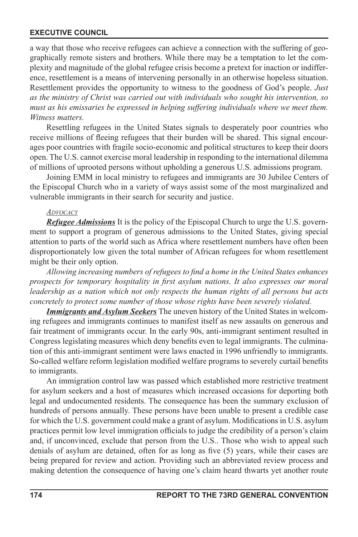a way that those who receive refugees can achieve a connection with the suffering of geographically remote sisters and brothers. While there may be a temptation to let the complexity and magnitude of the global refugee crisis become a pretext for inaction or indifference, resettlement is a means of intervening personally in an otherwise hopeless situation. Resettlement provides the opportunity to witness to the goodness of God's people. *Just as the ministry of Christ was carried out with individuals who sought his intervention, so must as his emissaries be expressed in helping suffering individuals where we meet them. Witness matters.* 

Resettling refugees in the United States signals to desperately poor countries who receive millions of fleeing refugees that their burden will be shared. This signal encourages poor countries with fragile socio-economic and political structures to keep their doors open. The U.S. cannot exercise moral leadership in responding to the international dilemma of millions of uprooted persons without upholding a generous U.S. admissions program.

Joining EMM in local ministry to refugees and immigrants are 30 Jubilee Centers of the Episcopal Church who in a variety of ways assist some of the most marginalized and vulnerable immigrants in their search for security and justice.

#### *ADVOCACY*

*Refugee Admissions* It is the policy of the Episcopal Church to urge the U.S. government to support a program of generous admissions to the United States, giving special attention to parts of the world such as Africa where resettlement numbers have often been disproportionately low given the total number of African refugees for whom resettlement might be their only option.

Allowing increasing numbers of refugees to find a home in the United States enhances *prospects for temporary hospitality in first asylum nations. It also expresses our moral leadership as a nation which not only respects the human rights of all persons but acts concretely to protect some number of those whose rights have been severely violated.*

*Immigrants and Asylum Seekers* The uneven history of the United States in welcoming refugees and immigrants continues to manifest itself as new assaults on generous and fair treatment of immigrants occur. In the early 90s, anti-immigrant sentiment resulted in Congress legislating measures which deny benefits even to legal immigrants. The culmination of this anti-immigrant sentiment were laws enacted in 1996 unfriendly to immigrants. So-called welfare reform legislation modied welfare programs to severely curtail benets to immigrants.

An immigration control law was passed which established more restrictive treatment for asylum seekers and a host of measures which increased occasions for deporting both legal and undocumented residents. The consequence has been the summary exclusion of hundreds of persons annually. These persons have been unable to present a credible case for which the U.S. government could make a grant of asylum. Modifications in U.S. asylum practices permit low level immigration officials to judge the credibility of a person's claim and, if unconvinced, exclude that person from the U.S.. Those who wish to appeal such denials of asylum are detained, often for as long as five (5) years, while their cases are being prepared for review and action. Providing such an abbreviated review process and making detention the consequence of having one's claim heard thwarts yet another route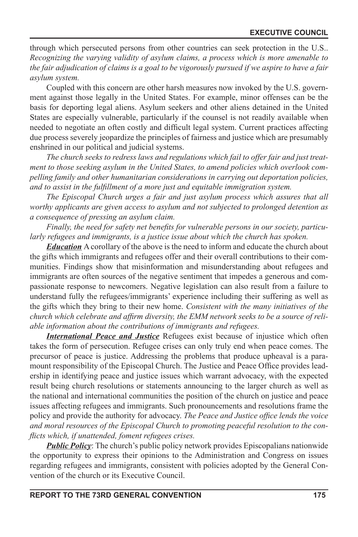through which persecuted persons from other countries can seek protection in the U.S.. *Recognizing the varying validity of asylum claims, a process which is more amenable to the fair adjudication of claims is a goal to be vigorously pursued if we aspire to have a fair asylum system.*

Coupled with this concern are other harsh measures now invoked by the U.S. government against those legally in the United States. For example, minor offenses can be the basis for deporting legal aliens. Asylum seekers and other aliens detained in the United States are especially vulnerable, particularly if the counsel is not readily available when needed to negotiate an often costly and difficult legal system. Current practices affecting due process severely jeopardize the principles of fairness and justice which are presumably enshrined in our political and judicial systems.

*The church seeks to redress laws and regulations which fail to offer fair and just treatment to those seeking asylum in the United States, to amend policies which overlook compelling family and other humanitarian considerations in carrying out deportation policies, and to assist in the fulllment of a more just and equitable immigration system.*

*The Episcopal Church urges a fair and just asylum process which assures that all worthy applicants are given access to asylum and not subjected to prolonged detention as a consequence of pressing an asylum claim.*

Finally, the need for safety net benefits for vulnerable persons in our society, particu*larly refugees and immigrants, is a justice issue about which the church has spoken.*

*Education* A corollary of the above is the need to inform and educate the church about the gifts which immigrants and refugees offer and their overall contributions to their communities. Findings show that misinformation and misunderstanding about refugees and immigrants are often sources of the negative sentiment that impedes a generous and compassionate response to newcomers. Negative legislation can also result from a failure to understand fully the refugees/immigrants' experience including their suffering as well as the gifts which they bring to their new home. *Consistent with the many initiatives of the*  church which celebrate and affirm diversity, the EMM network seeks to be a source of reli*able information about the contributions of immigrants and refugees.* 

*International Peace and Justice* Refugees exist because of injustice which often takes the form of persecution. Refugee crises can only truly end when peace comes. The precursor of peace is justice. Addressing the problems that produce upheaval is a paramount responsibility of the Episcopal Church. The Justice and Peace Office provides leadership in identifying peace and justice issues which warrant advocacy, with the expected result being church resolutions or statements announcing to the larger church as well as the national and international communities the position of the church on justice and peace issues affecting refugees and immigrants. Such pronouncements and resolutions frame the policy and provide the authority for advocacy. The Peace and Justice office lends the voice *and moral resources of the Episcopal Church to promoting peaceful resolution to the con icts which, if unattended, foment refugees crises.*

**Public Policy**: The church's public policy network provides Episcopalians nationwide the opportunity to express their opinions to the Administration and Congress on issues regarding refugees and immigrants, consistent with policies adopted by the General Convention of the church or its Executive Council.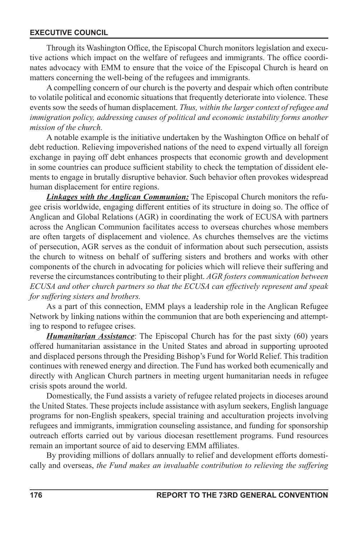Through its Washington Office, the Episcopal Church monitors legislation and executive actions which impact on the welfare of refugees and immigrants. The office coordinates advocacy with EMM to ensure that the voice of the Episcopal Church is heard on matters concerning the well-being of the refugees and immigrants.

A compelling concern of our church is the poverty and despair which often contribute to volatile political and economic situations that frequently deteriorate into violence. These events sow the seeds of human displacement. *Thus, within the larger context of refugee and*  immigration policy, addressing causes of political and economic instability forms another *mission of the church.*

A notable example is the initiative undertaken by the Washington Office on behalf of debt reduction. Relieving impoverished nations of the need to expend virtually all foreign exchange in paying off debt enhances prospects that economic growth and development in some countries can produce sufficient stability to check the temptation of dissident elements to engage in brutally disruptive behavior. Such behavior often provokes widespread human displacement for entire regions.

*Linkages with the Anglican Communion:* The Episcopal Church monitors the refugee crisis worldwide, engaging different entities of its structure in doing so. The office of Anglican and Global Relations (AGR) in coordinating the work of ECUSA with partners across the Anglican Communion facilitates access to overseas churches whose members are often targets of displacement and violence. As churches themselves are the victims of persecution, AGR serves as the conduit of information about such persecution, assists the church to witness on behalf of suffering sisters and brothers and works with other components of the church in advocating for policies which will relieve their suffering and reverse the circumstances contributing to their plight. *AGR fosters communication between ECUSA and other church partners so that the ECUSA can effectively represent and speak for suffering sisters and brothers.*

As a part of this connection, EMM plays a leadership role in the Anglican Refugee Network by linking nations within the communion that are both experiencing and attempting to respond to refugee crises.

*Humanitarian Assistance*: The Episcopal Church has for the past sixty (60) years offered humanitarian assistance in the United States and abroad in supporting uprooted and displaced persons through the Presiding Bishop's Fund for World Relief. This tradition continues with renewed energy and direction. The Fund has worked both ecumenically and directly with Anglican Church partners in meeting urgent humanitarian needs in refugee crisis spots around the world.

Domestically, the Fund assists a variety of refugee related projects in dioceses around the United States. These projects include assistance with asylum seekers, English language programs for non-English speakers, special training and acculturation projects involving refugees and immigrants, immigration counseling assistance, and funding for sponsorship outreach efforts carried out by various diocesan resettlement programs. Fund resources remain an important source of aid to deserving EMM affiliates.

By providing millions of dollars annually to relief and development efforts domestically and overseas, *the Fund makes an invaluable contribution to relieving the suffering*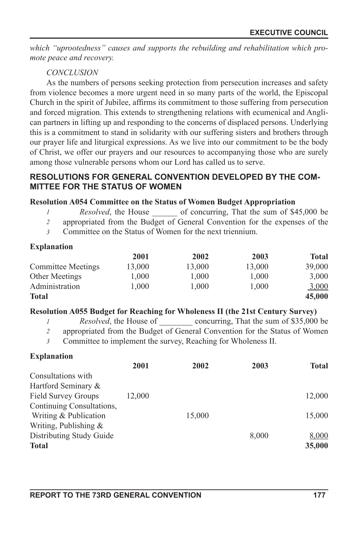*which "uprootedness" causes and supports the rebuilding and rehabilitation which promote peace and recovery.*

# *CONCLUSION*

As the numbers of persons seeking protection from persecution increases and safety from violence becomes a more urgent need in so many parts of the world, the Episcopal Church in the spirit of Jubilee, affirms its commitment to those suffering from persecution and forced migration. This extends to strengthening relations with ecumenical and Anglican partners in lifting up and responding to the concerns of displaced persons. Underlying this is a commitment to stand in solidarity with our suffering sisters and brothers through our prayer life and liturgical expressions. As we live into our commitment to be the body of Christ, we offer our prayers and our resources to accompanying those who are surely among those vulnerable persons whom our Lord has called us to serve.

# **RESOLUTIONS FOR GENERAL CONVENTION DEVELOPED BY THE COM-MITTEE FOR THE STATUS OF WOMEN**

# **Resolution A054 Committee on the Status of Women Budget Appropriation**

- *Resolved*, the House of concurring, That the sum of \$45,000 be *1*
- appropriated from the Budget of General Convention for the expenses of the *2*
- Committee on the Status of Women for the next triennium. *3*

## **Explanation**

|                           | 2001   | 2002   | 2003   | <b>Total</b> |
|---------------------------|--------|--------|--------|--------------|
| <b>Committee Meetings</b> | 13.000 | 13.000 | 13.000 | 39,000       |
| <b>Other Meetings</b>     | 1.000  | 1.000  | 1.000  | 3,000        |
| Administration            | 1.000  | 1.000  | 1.000  | <u>3,000</u> |
| <b>Total</b>              |        |        |        | 45,000       |

# **Resolution A055 Budget for Reaching for Wholeness II (the 21st Century Survey)**

- *Resolved*, the House of concurring, That the sum of \$35,000 be *1*
- appropriated from the Budget of General Convention for the Status of Women *2*
- Committee to implement the survey, Reaching for Wholeness II. *3*

# **Explanation**

|                            | 2001   | 2002   | 2003  | <b>Total</b> |
|----------------------------|--------|--------|-------|--------------|
| Consultations with         |        |        |       |              |
| Hartford Seminary &        |        |        |       |              |
| <b>Field Survey Groups</b> | 12.000 |        |       | 12,000       |
| Continuing Consultations,  |        |        |       |              |
| Writing & Publication      |        | 15,000 |       | 15,000       |
| Writing, Publishing $&$    |        |        |       |              |
| Distributing Study Guide   |        |        | 8,000 | 8,000        |
| <b>Total</b>               |        |        |       | 35,000       |
|                            |        |        |       |              |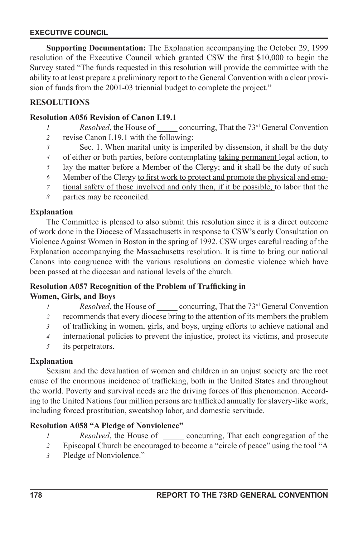**Supporting Documentation:** The Explanation accompanying the October 29, 1999 resolution of the Executive Council which granted CSW the first \$10,000 to begin the Survey stated "The funds requested in this resolution will provide the committee with the ability to at least prepare a preliminary report to the General Convention with a clear provision of funds from the 2001-03 triennial budget to complete the project."

# **RESOLUTIONS**

#### **Resolution A056 Revision of Canon I.19.1**

- *Resolved*, the House of concurring, That the 73<sup>rd</sup> General Convention *1*
- revise Canon I.19.1 with the following: *2*
- Sec. 1. When marital unity is imperiled by dissension, it shall be the duty *3*
- of either or both parties, before contemplating taking permanent legal action, to *4*
- lay the matter before a Member of the Clergy; and it shall be the duty of such *5*
- Member of the Clergy to first work to protect and promote the physical and emo-*6*
- tional safety of those involved and only then, if it be possible, to labor that the *7*
- parties may be reconciled. *8*

## **Explanation**

The Committee is pleased to also submit this resolution since it is a direct outcome of work done in the Diocese of Massachusetts in response to CSW's early Consultation on Violence Against Women in Boston in the spring of 1992. CSW urges careful reading of the Explanation accompanying the Massachusetts resolution. It is time to bring our national Canons into congruence with the various resolutions on domestic violence which have been passed at the diocesan and national levels of the church.

#### **Resolution A057 Recognition of the Problem of Trafficking in Women, Girls, and Boys**

- *Resolved*, the House of concurring, That the 73<sup>rd</sup> General Convention *1*
- recommends that every diocese bring to the attention of its members the problem *2*
- of trafficking in women, girls, and boys, urging efforts to achieve national and *3*
- international policies to prevent the injustice, protect its victims, and prosecute *4*
- its perpetrators. *5*

# **Explanation**

Sexism and the devaluation of women and children in an unjust society are the root cause of the enormous incidence of trafficking, both in the United States and throughout the world. Poverty and survival needs are the driving forces of this phenomenon. According to the United Nations four million persons are trafficked annually for slavery-like work, including forced prostitution, sweatshop labor, and domestic servitude.

# **Resolution A058 "A Pledge of Nonviolence"**

- *Resolved*, the House of concurring, That each congregation of the *1*
- Episcopal Church be encouraged to become a "circle of peace" using the tool "A *2*
- Pledge of Nonviolence." *3*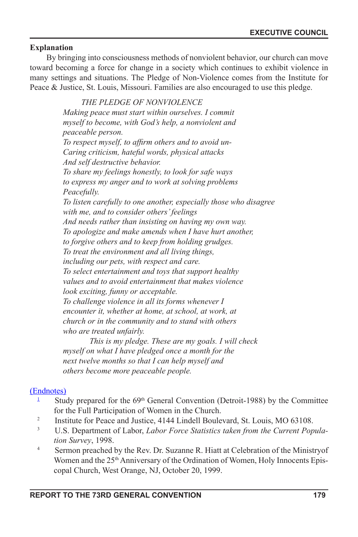## **Explanation**

By bringing into consciousness methods of nonviolent behavior, our church can move toward becoming a force for change in a society which continues to exhibit violence in many settings and situations. The Pledge of Non-Violence comes from the Institute for Peace & Justice, St. Louis, Missouri. Families are also encouraged to use this pledge.

> *THE PLEDGE OF NONVIOLENCE Making peace must start within ourselves. I commit myself to become, with God's help, a nonviolent and peaceable person.* To respect myself, to affirm others and to avoid un-*Caring criticism, hateful words, physical attacks And self destructive behavior. To share my feelings honestly, to look for safe ways to express my anger and to work at solving problems Peacefully. To listen carefully to one another, especially those who disagree with me, and to consider others' feelings And needs rather than insisting on having my own way. To apologize and make amends when I have hurt another, to forgive others and to keep from holding grudges. To treat the environment and all living things, including our pets, with respect and care. To select entertainment and toys that support healthy values and to avoid entertainment that makes violence look exciting, funny or acceptable. To challenge violence in all its forms whenever I encounter it, whether at home, at school, at work, at church or in the community and to stand with others who are treated unfairly.*

*This is my pledge. These are my goals. I will check myself on what I have pledged once a month for the next twelve months so that I can help myself and others become more peaceable people.*

# (Endnotes)

- <sup>1</sup> Study prepared for the 69<sup>th</sup> General Convention (Detroit-1988) by the Committee
- for the Full Participation of Women in the Church.<br><sup>2</sup> Institute for Peace and Justice, 4144 Lindell Boulevard, St. Louis, MO 63108.<br><sup>3</sup> ILS Department of Labor Labor Force Statistics taken from the Current Pop
- U.S. Department of Labor, *Labor Force Statistics taken from the Current Population Survey*, 1998.
- <sup>4</sup> Sermon preached by the Rev. Dr. Suzanne R. Hiatt at Celebration of the Ministryof Women and the 25<sup>th</sup> Anniversary of the Ordination of Women, Holy Innocents Episcopal Church, West Orange, NJ, October 20, 1999.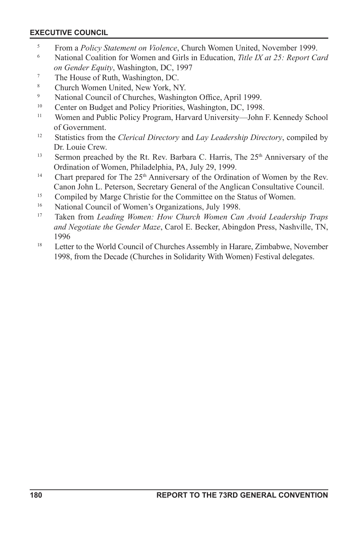- <sup>5</sup> From a *Policy Statement on Violence*, Church Women United, November 1999.
- <sup>6</sup> National Coalition for Women and Girls in Education, *Title IX at 25: Report Card on Gender Equity*, Washington, DC, 1997
- $\frac{7}{8}$  The House of Ruth, Washington, DC.
- <sup>8</sup><br>Church Women United, New York, NY.<br>National Council of Churches, Washing.
- National Council of Churches, Washington Office, April 1999.
- <sup>10</sup> Center on Budget and Policy Priorities, Washington, DC, 1998.
- <sup>11</sup> Women and Public Policy Program, Harvard University—John F. Kennedy School of Government.
- <sup>12</sup> Statistics from the *Clerical Directory* and *Lay Leadership Directory*, compiled by Dr. Louie Crew.
- <sup>13</sup> Sermon preached by the Rt. Rev. Barbara C. Harris, The 25<sup>th</sup> Anniversary of the Ordination of Women, Philadelphia, PA, July 29, 1999.
- <sup>14</sup> Chart prepared for The  $25<sup>th</sup>$  Anniversary of the Ordination of Women by the Rev. Canon John L. Peterson, Secretary General of the Anglican Consultative Council.
- <sup>15</sup> Compiled by Marge Christie for the Committee on the Status of Women.
- <sup>16</sup> National Council of Women's Organizations, July 1998.
- <sup>17</sup> Taken from *Leading Women: How Church Women Can Avoid Leadership Traps and Negotiate the Gender Maze*, Carol E. Becker, Abingdon Press, Nashville, TN, 1996
- <sup>18</sup> Letter to the World Council of Churches Assembly in Harare, Zimbabwe, November 1998, from the Decade (Churches in Solidarity With Women) Festival delegates.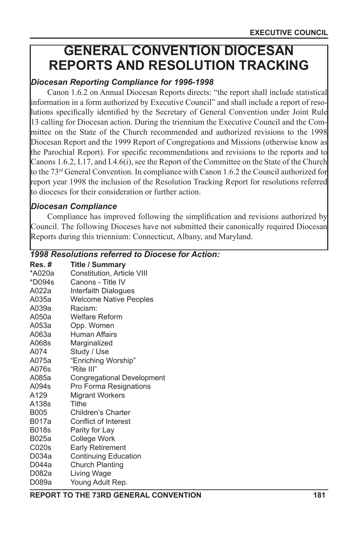# **GENERAL CONVENTION DIOCESAN REPORTS AND RESOLUTION TRACKING**

# *Diocesan Reporting Compliance for 1996-1998*

Canon 1.6.2 on Annual Diocesan Reports directs: "the report shall include statistical information in a form authorized by Executive Council" and shall include a report of resolutions specifically identified by the Secretary of General Convention under Joint Rule 13 calling for Diocesan action. During the triennium the Executive Council and the Committee on the State of the Church recommended and authorized revisions to the 1998 Diocesan Report and the 1999 Report of Congregations and Missions (otherwise know as the Parochial Report). For specific recommendations and revisions to the reports and to Canons 1.6.2, I.17, and I.4.6(i), see the Report of the Committee on the State of the Church to the  $73<sup>rd</sup>$  General Convention. In compliance with Canon 1.6.2 the Council authorized for report year 1998 the inclusion of the Resolution Tracking Report for resolutions referred to dioceses for their consideration or further action.

# *Diocesan Compliance*

Compliance has improved following the simplication and revisions authorized by Council. The following Dioceses have not submitted their canonically required Diocesan Reports during this triennium: Connecticut, Albany, and Maryland.

# *1998 Resolutions referred to Diocese for Action:*

| Res.#        | <b>Title / Summary</b>        |
|--------------|-------------------------------|
| *A020a       | Constitution, Article VIII    |
| *D094s       | Canons - Title IV             |
| A022a        | Interfaith Dialogues          |
| A035a        | <b>Welcome Native Peoples</b> |
| A039a        | Racism:                       |
| A050a        | Welfare Reform                |
| A053a        | Opp. Women                    |
| A063a        | Human Affairs                 |
| A068s        | Marginalized                  |
| A074         | Study / Use                   |
| A075a        | "Enriching Worship"           |
| A076s        | "Rite III"                    |
| A085a        | Congregational Development    |
| A094s        | Pro Forma Resignations        |
| A129         | <b>Migrant Workers</b>        |
| A138s        | <b>Tithe</b>                  |
| <b>B005</b>  | Children's Charter            |
| B017a        | Conflict of Interest          |
| <b>B018s</b> | Parity for Lay                |
| B025a        | College Work                  |
| C020s        | <b>Early Retirement</b>       |
| D034a        | <b>Continuing Education</b>   |
| D044a        | Church Planting               |
| D082a        | Living Wage                   |
| D089a        | Young Adult Rep.              |